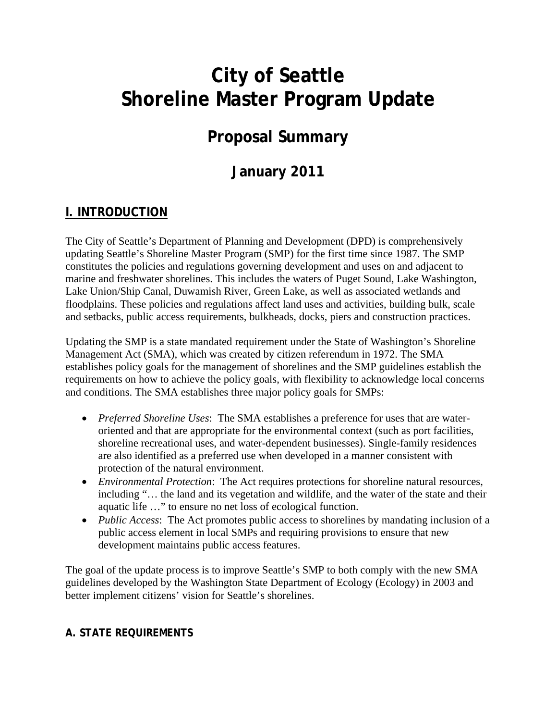# **City of Seattle Shoreline Master Program Update**

# **Proposal Summary**

# **January 2011**

# **I. INTRODUCTION**

The City of Seattle's Department of Planning and Development (DPD) is comprehensively updating Seattle's Shoreline Master Program (SMP) for the first time since 1987. The SMP constitutes the policies and regulations governing development and uses on and adjacent to marine and freshwater shorelines. This includes the waters of Puget Sound, Lake Washington, Lake Union/Ship Canal, Duwamish River, Green Lake, as well as associated wetlands and floodplains. These policies and regulations affect land uses and activities, building bulk, scale and setbacks, public access requirements, bulkheads, docks, piers and construction practices.

Updating the SMP is a state mandated requirement under the State of Washington's Shoreline Management Act (SMA), which was created by citizen referendum in 1972. The SMA establishes policy goals for the management of shorelines and the SMP guidelines establish the requirements on how to achieve the policy goals, with flexibility to acknowledge local concerns and conditions. The SMA establishes three major policy goals for SMPs:

- *Preferred Shoreline Uses*: The SMA establishes a preference for uses that are wateroriented and that are appropriate for the environmental context (such as port facilities, shoreline recreational uses, and water-dependent businesses). Single-family residences are also identified as a preferred use when developed in a manner consistent with protection of the natural environment.
- *Environmental Protection*: The Act requires protections for shoreline natural resources, including "… the land and its vegetation and wildlife, and the water of the state and their aquatic life …" to ensure no net loss of ecological function.
- *Public Access*: The Act promotes public access to shorelines by mandating inclusion of a public access element in local SMPs and requiring provisions to ensure that new development maintains public access features.

The goal of the update process is to improve Seattle's SMP to both comply with the new SMA guidelines developed by the Washington State Department of Ecology (Ecology) in 2003 and better implement citizens' vision for Seattle's shorelines.

# **A. STATE REQUIREMENTS**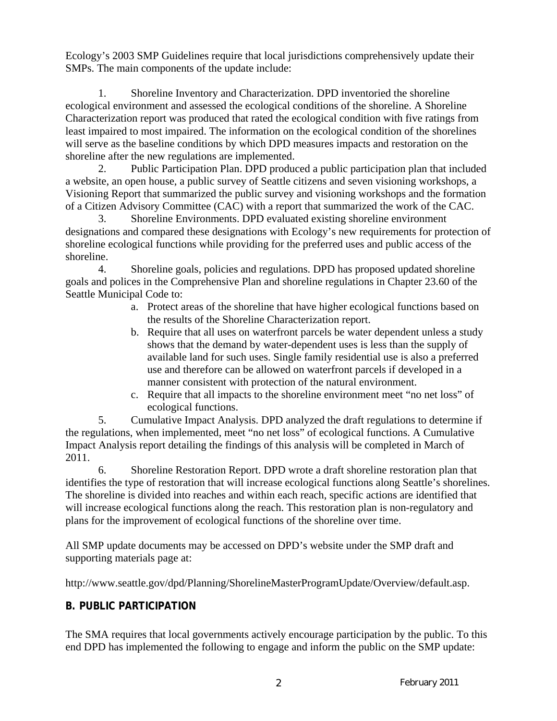Ecology's 2003 SMP Guidelines require that local jurisdictions comprehensively update their SMPs. The main components of the update include:

1. Shoreline Inventory and Characterization. DPD inventoried the shoreline ecological environment and assessed the ecological conditions of the shoreline. A Shoreline Characterization report was produced that rated the ecological condition with five ratings from least impaired to most impaired. The information on the ecological condition of the shorelines will serve as the baseline conditions by which DPD measures impacts and restoration on the shoreline after the new regulations are implemented.

2. Public Participation Plan. DPD produced a public participation plan that included a website, an open house, a public survey of Seattle citizens and seven visioning workshops, a Visioning Report that summarized the public survey and visioning workshops and the formation of a Citizen Advisory Committee (CAC) with a report that summarized the work of the CAC.

3. Shoreline Environments. DPD evaluated existing shoreline environment designations and compared these designations with Ecology's new requirements for protection of shoreline ecological functions while providing for the preferred uses and public access of the shoreline.

4. Shoreline goals, policies and regulations. DPD has proposed updated shoreline goals and polices in the Comprehensive Plan and shoreline regulations in Chapter 23.60 of the Seattle Municipal Code to:

- a. Protect areas of the shoreline that have higher ecological functions based on the results of the Shoreline Characterization report.
- b. Require that all uses on waterfront parcels be water dependent unless a study shows that the demand by water-dependent uses is less than the supply of available land for such uses. Single family residential use is also a preferred use and therefore can be allowed on waterfront parcels if developed in a manner consistent with protection of the natural environment.
- c. Require that all impacts to the shoreline environment meet "no net loss" of ecological functions.

5. Cumulative Impact Analysis. DPD analyzed the draft regulations to determine if the regulations, when implemented, meet "no net loss" of ecological functions. A Cumulative Impact Analysis report detailing the findings of this analysis will be completed in March of 2011.

6. Shoreline Restoration Report. DPD wrote a draft shoreline restoration plan that identifies the type of restoration that will increase ecological functions along Seattle's shorelines. The shoreline is divided into reaches and within each reach, specific actions are identified that will increase ecological functions along the reach. This restoration plan is non-regulatory and plans for the improvement of ecological functions of the shoreline over time.

All SMP update documents may be accessed on DPD's website under the SMP draft and supporting materials page at:

http://www.seattle.gov/dpd/Planning/ShorelineMasterProgramUpdate/Overview/default.asp.

# **B. PUBLIC PARTICIPATION**

The SMA requires that local governments actively encourage participation by the public. To this end DPD has implemented the following to engage and inform the public on the SMP update: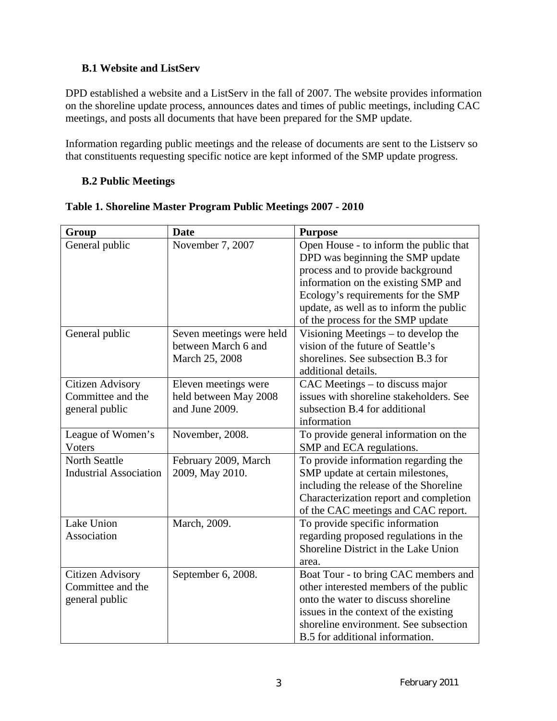## **B.1 Website and ListServ**

DPD established a website and a ListServ in the fall of 2007. The website provides information on the shoreline update process, announces dates and times of public meetings, including CAC meetings, and posts all documents that have been prepared for the SMP update.

Information regarding public meetings and the release of documents are sent to the Listserv so that constituents requesting specific notice are kept informed of the SMP update progress.

## **B.2 Public Meetings**

| Group                         | <b>Date</b>              | <b>Purpose</b>                          |  |  |
|-------------------------------|--------------------------|-----------------------------------------|--|--|
| General public                | November 7, 2007         | Open House - to inform the public that  |  |  |
|                               |                          | DPD was beginning the SMP update        |  |  |
|                               |                          | process and to provide background       |  |  |
|                               |                          | information on the existing SMP and     |  |  |
|                               |                          | Ecology's requirements for the SMP      |  |  |
|                               |                          | update, as well as to inform the public |  |  |
|                               |                          | of the process for the SMP update       |  |  |
| General public                | Seven meetings were held | Visioning Meetings – to develop the     |  |  |
|                               | between March 6 and      | vision of the future of Seattle's       |  |  |
|                               | March 25, 2008           | shorelines. See subsection B.3 for      |  |  |
|                               |                          | additional details.                     |  |  |
| <b>Citizen Advisory</b>       | Eleven meetings were     | CAC Meetings – to discuss major         |  |  |
| Committee and the             | held between May 2008    | issues with shoreline stakeholders. See |  |  |
| general public                | and June 2009.           | subsection B.4 for additional           |  |  |
|                               |                          | information                             |  |  |
| League of Women's             | November, 2008.          | To provide general information on the   |  |  |
| Voters                        |                          | SMP and ECA regulations.                |  |  |
| <b>North Seattle</b>          | February 2009, March     | To provide information regarding the    |  |  |
| <b>Industrial Association</b> | 2009, May 2010.          | SMP update at certain milestones,       |  |  |
|                               |                          | including the release of the Shoreline  |  |  |
|                               |                          | Characterization report and completion  |  |  |
|                               |                          | of the CAC meetings and CAC report.     |  |  |
| Lake Union                    | March, 2009.             | To provide specific information         |  |  |
| Association                   |                          | regarding proposed regulations in the   |  |  |
|                               |                          | Shoreline District in the Lake Union    |  |  |
|                               |                          | area.                                   |  |  |
| <b>Citizen Advisory</b>       | September 6, 2008.       | Boat Tour - to bring CAC members and    |  |  |
| Committee and the             |                          | other interested members of the public  |  |  |
| general public                |                          | onto the water to discuss shoreline     |  |  |
|                               |                          | issues in the context of the existing   |  |  |
|                               |                          | shoreline environment. See subsection   |  |  |
|                               |                          | B.5 for additional information.         |  |  |

# **Table 1. Shoreline Master Program Public Meetings 2007 - 2010**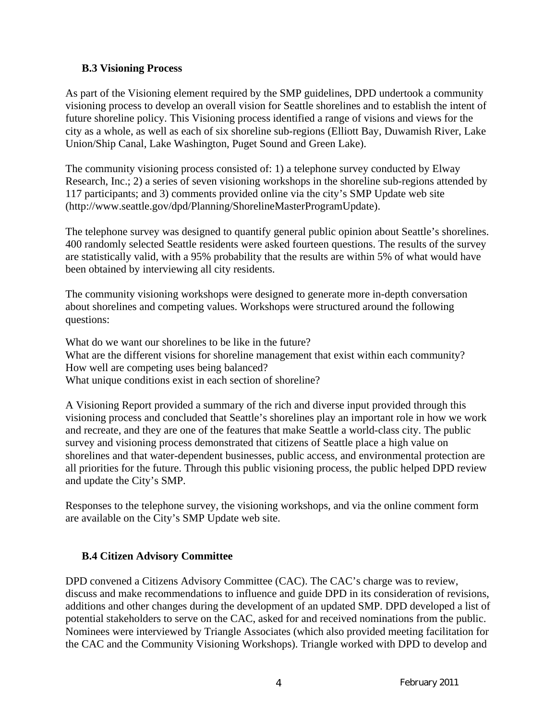## **B.3 Visioning Process**

As part of the Visioning element required by the SMP guidelines, DPD undertook a community visioning process to develop an overall vision for Seattle shorelines and to establish the intent of future shoreline policy. This Visioning process identified a range of visions and views for the city as a whole, as well as each of six shoreline sub-regions (Elliott Bay, Duwamish River, Lake Union/Ship Canal, Lake Washington, Puget Sound and Green Lake).

The community visioning process consisted of: 1) a telephone survey conducted by Elway Research, Inc.; 2) a series of seven visioning workshops in the shoreline sub-regions attended by 117 participants; and 3) comments provided online via the city's SMP Update web site (http://www.seattle.gov/dpd/Planning/ShorelineMasterProgramUpdate).

The telephone survey was designed to quantify general public opinion about Seattle's shorelines. 400 randomly selected Seattle residents were asked fourteen questions. The results of the survey are statistically valid, with a 95% probability that the results are within 5% of what would have been obtained by interviewing all city residents.

The community visioning workshops were designed to generate more in-depth conversation about shorelines and competing values. Workshops were structured around the following questions:

What do we want our shorelines to be like in the future? What are the different visions for shoreline management that exist within each community? How well are competing uses being balanced? What unique conditions exist in each section of shoreline?

A Visioning Report provided a summary of the rich and diverse input provided through this visioning process and concluded that Seattle's shorelines play an important role in how we work and recreate, and they are one of the features that make Seattle a world-class city. The public survey and visioning process demonstrated that citizens of Seattle place a high value on shorelines and that water-dependent businesses, public access, and environmental protection are all priorities for the future. Through this public visioning process, the public helped DPD review and update the City's SMP.

Responses to the telephone survey, the visioning workshops, and via the online comment form are available on the City's SMP Update web site.

### **B.4 Citizen Advisory Committee**

DPD convened a Citizens Advisory Committee (CAC). The CAC's charge was to review, discuss and make recommendations to influence and guide DPD in its consideration of revisions, additions and other changes during the development of an updated SMP. DPD developed a list of potential stakeholders to serve on the CAC, asked for and received nominations from the public. Nominees were interviewed by Triangle Associates (which also provided meeting facilitation for the CAC and the Community Visioning Workshops). Triangle worked with DPD to develop and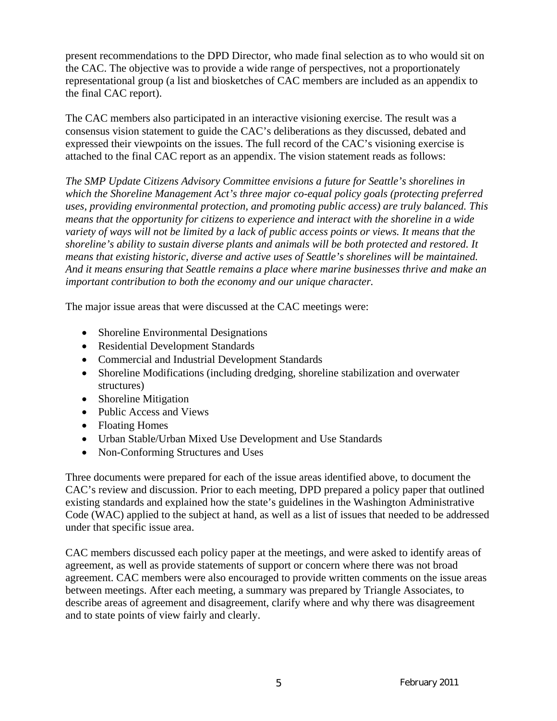present recommendations to the DPD Director, who made final selection as to who would sit on the CAC. The objective was to provide a wide range of perspectives, not a proportionately representational group (a list and biosketches of CAC members are included as an appendix to the final CAC report).

The CAC members also participated in an interactive visioning exercise. The result was a consensus vision statement to guide the CAC's deliberations as they discussed, debated and expressed their viewpoints on the issues. The full record of the CAC's visioning exercise is attached to the final CAC report as an appendix. The vision statement reads as follows:

*The SMP Update Citizens Advisory Committee envisions a future for Seattle's shorelines in which the Shoreline Management Act's three major co-equal policy goals (protecting preferred uses, providing environmental protection, and promoting public access) are truly balanced. This means that the opportunity for citizens to experience and interact with the shoreline in a wide variety of ways will not be limited by a lack of public access points or views. It means that the shoreline's ability to sustain diverse plants and animals will be both protected and restored. It means that existing historic, diverse and active uses of Seattle's shorelines will be maintained. And it means ensuring that Seattle remains a place where marine businesses thrive and make an important contribution to both the economy and our unique character.* 

The major issue areas that were discussed at the CAC meetings were:

- Shoreline Environmental Designations
- Residential Development Standards
- Commercial and Industrial Development Standards
- Shoreline Modifications (including dredging, shoreline stabilization and overwater structures)
- Shoreline Mitigation
- Public Access and Views
- Floating Homes
- Urban Stable/Urban Mixed Use Development and Use Standards
- Non-Conforming Structures and Uses

Three documents were prepared for each of the issue areas identified above, to document the CAC's review and discussion. Prior to each meeting, DPD prepared a policy paper that outlined existing standards and explained how the state's guidelines in the Washington Administrative Code (WAC) applied to the subject at hand, as well as a list of issues that needed to be addressed under that specific issue area.

CAC members discussed each policy paper at the meetings, and were asked to identify areas of agreement, as well as provide statements of support or concern where there was not broad agreement. CAC members were also encouraged to provide written comments on the issue areas between meetings. After each meeting, a summary was prepared by Triangle Associates, to describe areas of agreement and disagreement, clarify where and why there was disagreement and to state points of view fairly and clearly.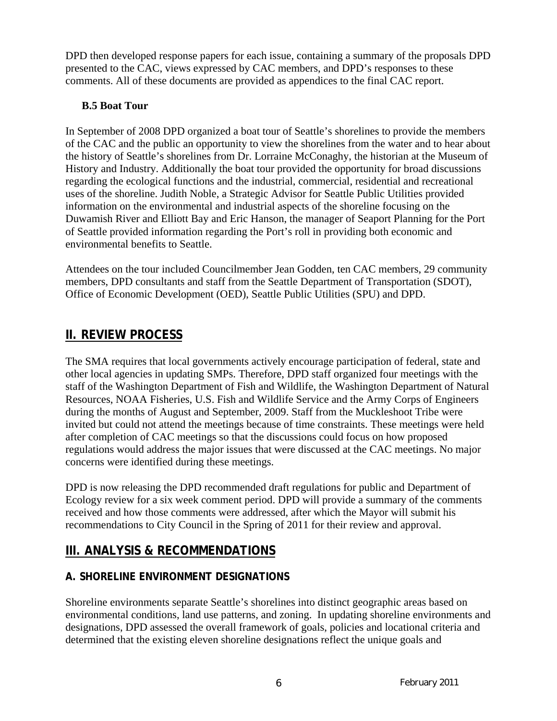DPD then developed response papers for each issue, containing a summary of the proposals DPD presented to the CAC, views expressed by CAC members, and DPD's responses to these comments. All of these documents are provided as appendices to the final CAC report.

# **B.5 Boat Tour**

In September of 2008 DPD organized a boat tour of Seattle's shorelines to provide the members of the CAC and the public an opportunity to view the shorelines from the water and to hear about the history of Seattle's shorelines from Dr. Lorraine McConaghy, the historian at the Museum of History and Industry. Additionally the boat tour provided the opportunity for broad discussions regarding the ecological functions and the industrial, commercial, residential and recreational uses of the shoreline. Judith Noble, a Strategic Advisor for Seattle Public Utilities provided information on the environmental and industrial aspects of the shoreline focusing on the Duwamish River and Elliott Bay and Eric Hanson, the manager of Seaport Planning for the Port of Seattle provided information regarding the Port's roll in providing both economic and environmental benefits to Seattle.

Attendees on the tour included Councilmember Jean Godden, ten CAC members, 29 community members, DPD consultants and staff from the Seattle Department of Transportation (SDOT), Office of Economic Development (OED), Seattle Public Utilities (SPU) and DPD.

# **II. REVIEW PROCESS**

The SMA requires that local governments actively encourage participation of federal, state and other local agencies in updating SMPs. Therefore, DPD staff organized four meetings with the staff of the Washington Department of Fish and Wildlife, the Washington Department of Natural Resources, NOAA Fisheries, U.S. Fish and Wildlife Service and the Army Corps of Engineers during the months of August and September, 2009. Staff from the Muckleshoot Tribe were invited but could not attend the meetings because of time constraints. These meetings were held after completion of CAC meetings so that the discussions could focus on how proposed regulations would address the major issues that were discussed at the CAC meetings. No major concerns were identified during these meetings.

DPD is now releasing the DPD recommended draft regulations for public and Department of Ecology review for a six week comment period. DPD will provide a summary of the comments received and how those comments were addressed, after which the Mayor will submit his recommendations to City Council in the Spring of 2011 for their review and approval.

# **III. ANALYSIS & RECOMMENDATIONS**

# **A. SHORELINE ENVIRONMENT DESIGNATIONS**

Shoreline environments separate Seattle's shorelines into distinct geographic areas based on environmental conditions, land use patterns, and zoning. In updating shoreline environments and designations, DPD assessed the overall framework of goals, policies and locational criteria and determined that the existing eleven shoreline designations reflect the unique goals and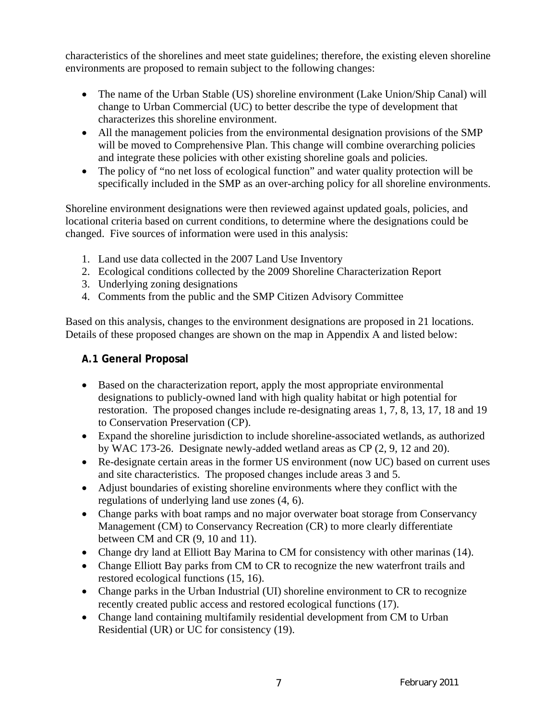characteristics of the shorelines and meet state guidelines; therefore, the existing eleven shoreline environments are proposed to remain subject to the following changes:

- The name of the Urban Stable (US) shoreline environment (Lake Union/Ship Canal) will change to Urban Commercial (UC) to better describe the type of development that characterizes this shoreline environment.
- All the management policies from the environmental designation provisions of the SMP will be moved to Comprehensive Plan. This change will combine overarching policies and integrate these policies with other existing shoreline goals and policies.
- The policy of "no net loss of ecological function" and water quality protection will be specifically included in the SMP as an over-arching policy for all shoreline environments.

Shoreline environment designations were then reviewed against updated goals, policies, and locational criteria based on current conditions, to determine where the designations could be changed. Five sources of information were used in this analysis:

- 1. Land use data collected in the 2007 Land Use Inventory
- 2. Ecological conditions collected by the 2009 Shoreline Characterization Report
- 3. Underlying zoning designations
- 4. Comments from the public and the SMP Citizen Advisory Committee

Based on this analysis, changes to the environment designations are proposed in 21 locations. Details of these proposed changes are shown on the map in Appendix A and listed below:

# **A.1 General Proposal**

- Based on the characterization report, apply the most appropriate environmental designations to publicly-owned land with high quality habitat or high potential for restoration. The proposed changes include re-designating areas 1, 7, 8, 13, 17, 18 and 19 to Conservation Preservation (CP).
- Expand the shoreline jurisdiction to include shoreline-associated wetlands, as authorized by WAC 173-26. Designate newly-added wetland areas as CP (2, 9, 12 and 20).
- Re-designate certain areas in the former US environment (now UC) based on current uses and site characteristics. The proposed changes include areas 3 and 5.
- Adjust boundaries of existing shoreline environments where they conflict with the regulations of underlying land use zones (4, 6).
- Change parks with boat ramps and no major overwater boat storage from Conservancy Management (CM) to Conservancy Recreation (CR) to more clearly differentiate between CM and CR (9, 10 and 11).
- Change dry land at Elliott Bay Marina to CM for consistency with other marinas (14).
- Change Elliott Bay parks from CM to CR to recognize the new waterfront trails and restored ecological functions (15, 16).
- Change parks in the Urban Industrial (UI) shoreline environment to CR to recognize recently created public access and restored ecological functions (17).
- Change land containing multifamily residential development from CM to Urban Residential (UR) or UC for consistency (19).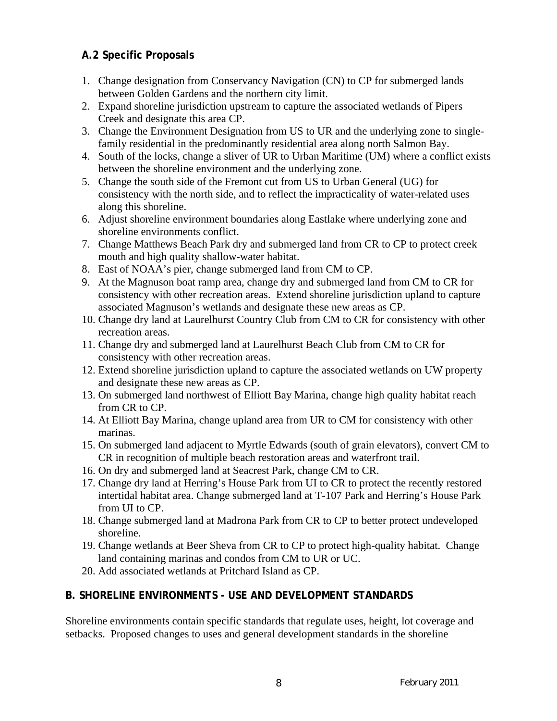# **A.2 Specific Proposals**

- 1. Change designation from Conservancy Navigation (CN) to CP for submerged lands between Golden Gardens and the northern city limit.
- 2. Expand shoreline jurisdiction upstream to capture the associated wetlands of Pipers Creek and designate this area CP.
- 3. Change the Environment Designation from US to UR and the underlying zone to singlefamily residential in the predominantly residential area along north Salmon Bay.
- 4. South of the locks, change a sliver of UR to Urban Maritime (UM) where a conflict exists between the shoreline environment and the underlying zone.
- 5. Change the south side of the Fremont cut from US to Urban General (UG) for consistency with the north side, and to reflect the impracticality of water-related uses along this shoreline.
- 6. Adjust shoreline environment boundaries along Eastlake where underlying zone and shoreline environments conflict.
- 7. Change Matthews Beach Park dry and submerged land from CR to CP to protect creek mouth and high quality shallow-water habitat.
- 8. East of NOAA's pier, change submerged land from CM to CP.
- 9. At the Magnuson boat ramp area, change dry and submerged land from CM to CR for consistency with other recreation areas. Extend shoreline jurisdiction upland to capture associated Magnuson's wetlands and designate these new areas as CP.
- 10. Change dry land at Laurelhurst Country Club from CM to CR for consistency with other recreation areas.
- 11. Change dry and submerged land at Laurelhurst Beach Club from CM to CR for consistency with other recreation areas.
- 12. Extend shoreline jurisdiction upland to capture the associated wetlands on UW property and designate these new areas as CP.
- 13. On submerged land northwest of Elliott Bay Marina, change high quality habitat reach from CR to CP.
- 14. At Elliott Bay Marina, change upland area from UR to CM for consistency with other marinas.
- 15. On submerged land adjacent to Myrtle Edwards (south of grain elevators), convert CM to CR in recognition of multiple beach restoration areas and waterfront trail.
- 16. On dry and submerged land at Seacrest Park, change CM to CR.
- 17. Change dry land at Herring's House Park from UI to CR to protect the recently restored intertidal habitat area. Change submerged land at T-107 Park and Herring's House Park from UI to CP.
- 18. Change submerged land at Madrona Park from CR to CP to better protect undeveloped shoreline.
- 19. Change wetlands at Beer Sheva from CR to CP to protect high-quality habitat. Change land containing marinas and condos from CM to UR or UC.
- 20. Add associated wetlands at Pritchard Island as CP.

# **B. SHORELINE ENVIRONMENTS - USE AND DEVELOPMENT STANDARDS**

Shoreline environments contain specific standards that regulate uses, height, lot coverage and setbacks. Proposed changes to uses and general development standards in the shoreline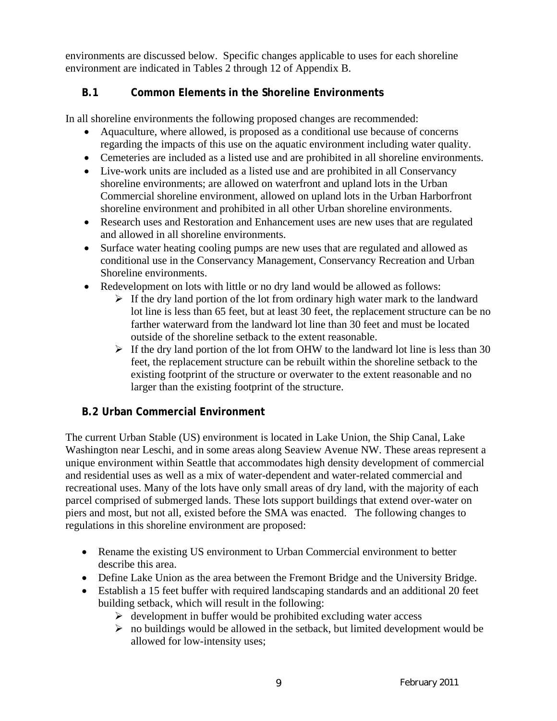environments are discussed below. Specific changes applicable to uses for each shoreline environment are indicated in Tables 2 through 12 of Appendix B.

# **B.1 Common Elements in the Shoreline Environments**

In all shoreline environments the following proposed changes are recommended:

- Aquaculture, where allowed, is proposed as a conditional use because of concerns regarding the impacts of this use on the aquatic environment including water quality.
- Cemeteries are included as a listed use and are prohibited in all shoreline environments.
- Live-work units are included as a listed use and are prohibited in all Conservancy shoreline environments; are allowed on waterfront and upland lots in the Urban Commercial shoreline environment, allowed on upland lots in the Urban Harborfront shoreline environment and prohibited in all other Urban shoreline environments.
- Research uses and Restoration and Enhancement uses are new uses that are regulated and allowed in all shoreline environments.
- Surface water heating cooling pumps are new uses that are regulated and allowed as conditional use in the Conservancy Management, Conservancy Recreation and Urban Shoreline environments.
- Redevelopment on lots with little or no dry land would be allowed as follows:
	- $\triangleright$  If the dry land portion of the lot from ordinary high water mark to the landward lot line is less than 65 feet, but at least 30 feet, the replacement structure can be no farther waterward from the landward lot line than 30 feet and must be located outside of the shoreline setback to the extent reasonable.
	- $\triangleright$  If the dry land portion of the lot from OHW to the landward lot line is less than 30 feet, the replacement structure can be rebuilt within the shoreline setback to the existing footprint of the structure or overwater to the extent reasonable and no larger than the existing footprint of the structure.

# **B.2 Urban Commercial Environment**

The current Urban Stable (US) environment is located in Lake Union, the Ship Canal, Lake Washington near Leschi, and in some areas along Seaview Avenue NW. These areas represent a unique environment within Seattle that accommodates high density development of commercial and residential uses as well as a mix of water-dependent and water-related commercial and recreational uses. Many of the lots have only small areas of dry land, with the majority of each parcel comprised of submerged lands. These lots support buildings that extend over-water on piers and most, but not all, existed before the SMA was enacted. The following changes to regulations in this shoreline environment are proposed:

- Rename the existing US environment to Urban Commercial environment to better describe this area.
- Define Lake Union as the area between the Fremont Bridge and the University Bridge.
- Establish a 15 feet buffer with required landscaping standards and an additional 20 feet building setback, which will result in the following:
	- $\triangleright$  development in buffer would be prohibited excluding water access
	- $\triangleright$  no buildings would be allowed in the setback, but limited development would be allowed for low-intensity uses;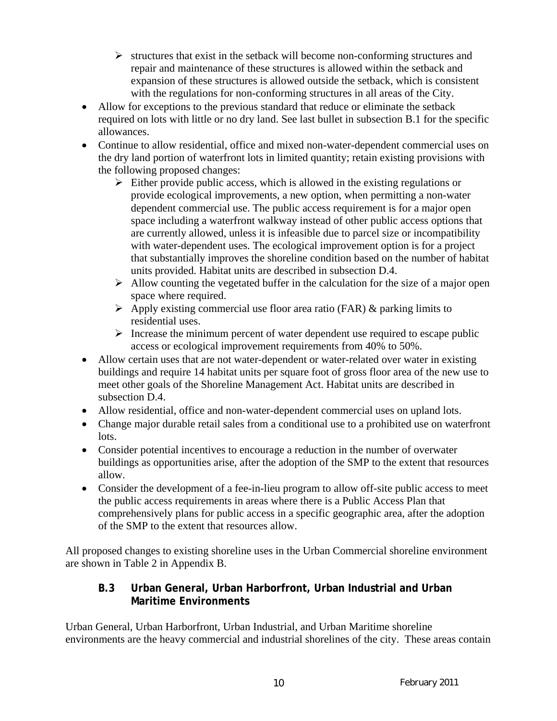- $\triangleright$  structures that exist in the setback will become non-conforming structures and repair and maintenance of these structures is allowed within the setback and expansion of these structures is allowed outside the setback, which is consistent with the regulations for non-conforming structures in all areas of the City.
- Allow for exceptions to the previous standard that reduce or eliminate the setback required on lots with little or no dry land. See last bullet in subsection B.1 for the specific allowances.
- Continue to allow residential, office and mixed non-water-dependent commercial uses on the dry land portion of waterfront lots in limited quantity; retain existing provisions with the following proposed changes:
	- $\triangleright$  Either provide public access, which is allowed in the existing regulations or provide ecological improvements, a new option, when permitting a non-water dependent commercial use. The public access requirement is for a major open space including a waterfront walkway instead of other public access options that are currently allowed, unless it is infeasible due to parcel size or incompatibility with water-dependent uses. The ecological improvement option is for a project that substantially improves the shoreline condition based on the number of habitat units provided. Habitat units are described in subsection D.4.
	- $\triangleright$  Allow counting the vegetated buffer in the calculation for the size of a major open space where required.
	- $\triangleright$  Apply existing commercial use floor area ratio (FAR) & parking limits to residential uses.
	- $\triangleright$  Increase the minimum percent of water dependent use required to escape public access or ecological improvement requirements from 40% to 50%.
- Allow certain uses that are not water-dependent or water-related over water in existing buildings and require 14 habitat units per square foot of gross floor area of the new use to meet other goals of the Shoreline Management Act. Habitat units are described in subsection D.4.
- Allow residential, office and non-water-dependent commercial uses on upland lots.
- Change major durable retail sales from a conditional use to a prohibited use on waterfront lots.
- Consider potential incentives to encourage a reduction in the number of overwater buildings as opportunities arise, after the adoption of the SMP to the extent that resources allow.
- Consider the development of a fee-in-lieu program to allow off-site public access to meet the public access requirements in areas where there is a Public Access Plan that comprehensively plans for public access in a specific geographic area, after the adoption of the SMP to the extent that resources allow.

All proposed changes to existing shoreline uses in the Urban Commercial shoreline environment are shown in Table 2 in Appendix B.

# **B.3 Urban General, Urban Harborfront, Urban Industrial and Urban Maritime Environments**

Urban General, Urban Harborfront, Urban Industrial, and Urban Maritime shoreline environments are the heavy commercial and industrial shorelines of the city. These areas contain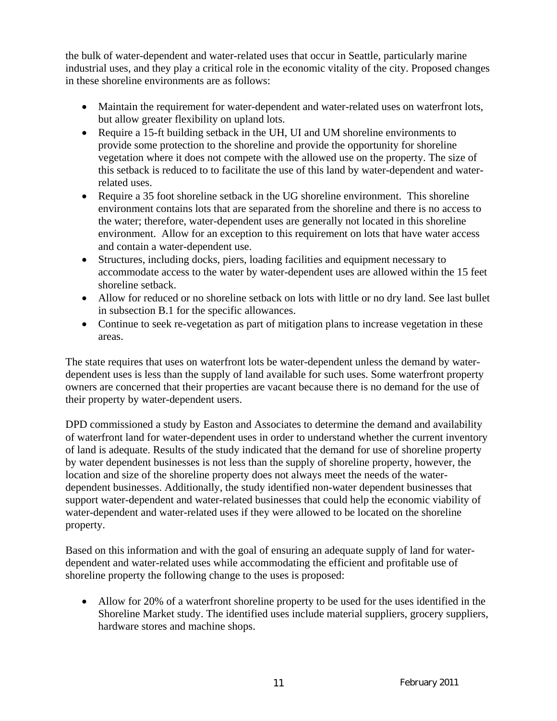the bulk of water-dependent and water-related uses that occur in Seattle, particularly marine industrial uses, and they play a critical role in the economic vitality of the city. Proposed changes in these shoreline environments are as follows:

- Maintain the requirement for water-dependent and water-related uses on waterfront lots, but allow greater flexibility on upland lots.
- Require a 15-ft building setback in the UH, UI and UM shoreline environments to provide some protection to the shoreline and provide the opportunity for shoreline vegetation where it does not compete with the allowed use on the property. The size of this setback is reduced to to facilitate the use of this land by water-dependent and waterrelated uses.
- Require a 35 foot shoreline setback in the UG shoreline environment. This shoreline environment contains lots that are separated from the shoreline and there is no access to the water; therefore, water-dependent uses are generally not located in this shoreline environment. Allow for an exception to this requirement on lots that have water access and contain a water-dependent use.
- Structures, including docks, piers, loading facilities and equipment necessary to accommodate access to the water by water-dependent uses are allowed within the 15 feet shoreline setback.
- Allow for reduced or no shoreline setback on lots with little or no dry land. See last bullet in subsection B.1 for the specific allowances.
- Continue to seek re-vegetation as part of mitigation plans to increase vegetation in these areas.

The state requires that uses on waterfront lots be water-dependent unless the demand by waterdependent uses is less than the supply of land available for such uses. Some waterfront property owners are concerned that their properties are vacant because there is no demand for the use of their property by water-dependent users.

DPD commissioned a study by Easton and Associates to determine the demand and availability of waterfront land for water-dependent uses in order to understand whether the current inventory of land is adequate. Results of the study indicated that the demand for use of shoreline property by water dependent businesses is not less than the supply of shoreline property, however, the location and size of the shoreline property does not always meet the needs of the waterdependent businesses. Additionally, the study identified non-water dependent businesses that support water-dependent and water-related businesses that could help the economic viability of water-dependent and water-related uses if they were allowed to be located on the shoreline property.

Based on this information and with the goal of ensuring an adequate supply of land for waterdependent and water-related uses while accommodating the efficient and profitable use of shoreline property the following change to the uses is proposed:

• Allow for 20% of a waterfront shoreline property to be used for the uses identified in the Shoreline Market study. The identified uses include material suppliers, grocery suppliers, hardware stores and machine shops.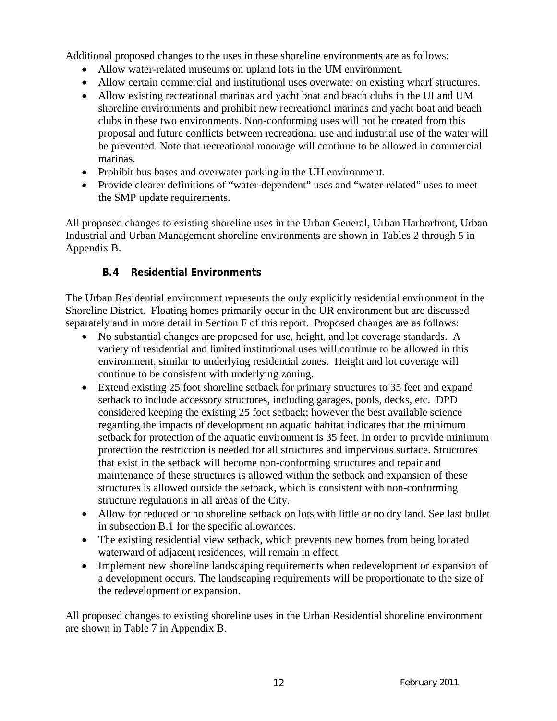Additional proposed changes to the uses in these shoreline environments are as follows:

- Allow water-related museums on upland lots in the UM environment.
- Allow certain commercial and institutional uses overwater on existing wharf structures.
- Allow existing recreational marinas and yacht boat and beach clubs in the UI and UM shoreline environments and prohibit new recreational marinas and yacht boat and beach clubs in these two environments. Non-conforming uses will not be created from this proposal and future conflicts between recreational use and industrial use of the water will be prevented. Note that recreational moorage will continue to be allowed in commercial marinas.
- Prohibit bus bases and overwater parking in the UH environment.
- Provide clearer definitions of "water-dependent" uses and "water-related" uses to meet the SMP update requirements.

All proposed changes to existing shoreline uses in the Urban General, Urban Harborfront, Urban Industrial and Urban Management shoreline environments are shown in Tables 2 through 5 in Appendix B.

# **B.4 Residential Environments**

The Urban Residential environment represents the only explicitly residential environment in the Shoreline District. Floating homes primarily occur in the UR environment but are discussed separately and in more detail in Section F of this report. Proposed changes are as follows:

- No substantial changes are proposed for use, height, and lot coverage standards. A variety of residential and limited institutional uses will continue to be allowed in this environment, similar to underlying residential zones. Height and lot coverage will continue to be consistent with underlying zoning.
- Extend existing 25 foot shoreline setback for primary structures to 35 feet and expand setback to include accessory structures, including garages, pools, decks, etc. DPD considered keeping the existing 25 foot setback; however the best available science regarding the impacts of development on aquatic habitat indicates that the minimum setback for protection of the aquatic environment is 35 feet. In order to provide minimum protection the restriction is needed for all structures and impervious surface. Structures that exist in the setback will become non-conforming structures and repair and maintenance of these structures is allowed within the setback and expansion of these structures is allowed outside the setback, which is consistent with non-conforming structure regulations in all areas of the City.
- Allow for reduced or no shoreline setback on lots with little or no dry land. See last bullet in subsection B.1 for the specific allowances.
- The existing residential view setback, which prevents new homes from being located waterward of adjacent residences, will remain in effect.
- Implement new shoreline landscaping requirements when redevelopment or expansion of a development occurs. The landscaping requirements will be proportionate to the size of the redevelopment or expansion.

All proposed changes to existing shoreline uses in the Urban Residential shoreline environment are shown in Table 7 in Appendix B.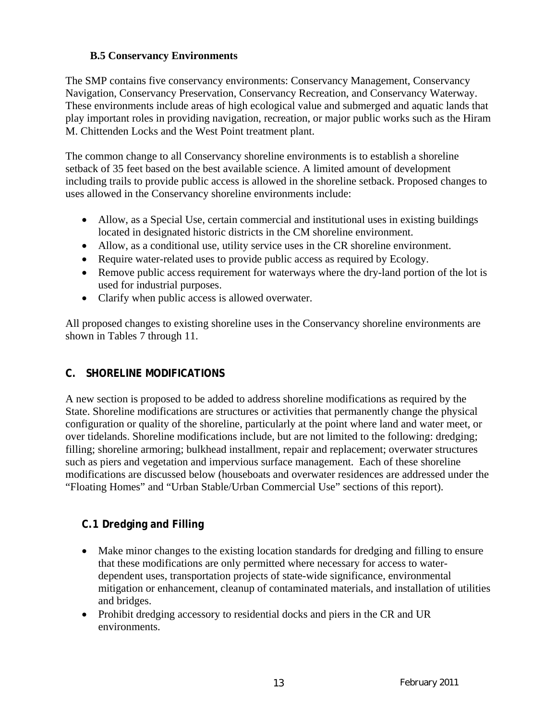## **B.5 Conservancy Environments**

The SMP contains five conservancy environments: Conservancy Management, Conservancy Navigation, Conservancy Preservation, Conservancy Recreation, and Conservancy Waterway. These environments include areas of high ecological value and submerged and aquatic lands that play important roles in providing navigation, recreation, or major public works such as the Hiram M. Chittenden Locks and the West Point treatment plant.

The common change to all Conservancy shoreline environments is to establish a shoreline setback of 35 feet based on the best available science. A limited amount of development including trails to provide public access is allowed in the shoreline setback. Proposed changes to uses allowed in the Conservancy shoreline environments include:

- Allow, as a Special Use, certain commercial and institutional uses in existing buildings located in designated historic districts in the CM shoreline environment.
- Allow, as a conditional use, utility service uses in the CR shoreline environment.
- Require water-related uses to provide public access as required by Ecology.
- Remove public access requirement for waterways where the dry-land portion of the lot is used for industrial purposes.
- Clarify when public access is allowed overwater.

All proposed changes to existing shoreline uses in the Conservancy shoreline environments are shown in Tables 7 through 11.

# **C. SHORELINE MODIFICATIONS**

A new section is proposed to be added to address shoreline modifications as required by the State. Shoreline modifications are structures or activities that permanently change the physical configuration or quality of the shoreline, particularly at the point where land and water meet, or over tidelands. Shoreline modifications include, but are not limited to the following: dredging; filling; shoreline armoring; bulkhead installment, repair and replacement; overwater structures such as piers and vegetation and impervious surface management. Each of these shoreline modifications are discussed below (houseboats and overwater residences are addressed under the "Floating Homes" and "Urban Stable/Urban Commercial Use" sections of this report).

# **C.1 Dredging and Filling**

- Make minor changes to the existing location standards for dredging and filling to ensure that these modifications are only permitted where necessary for access to waterdependent uses, transportation projects of state-wide significance, environmental mitigation or enhancement, cleanup of contaminated materials, and installation of utilities and bridges.
- Prohibit dredging accessory to residential docks and piers in the CR and UR environments.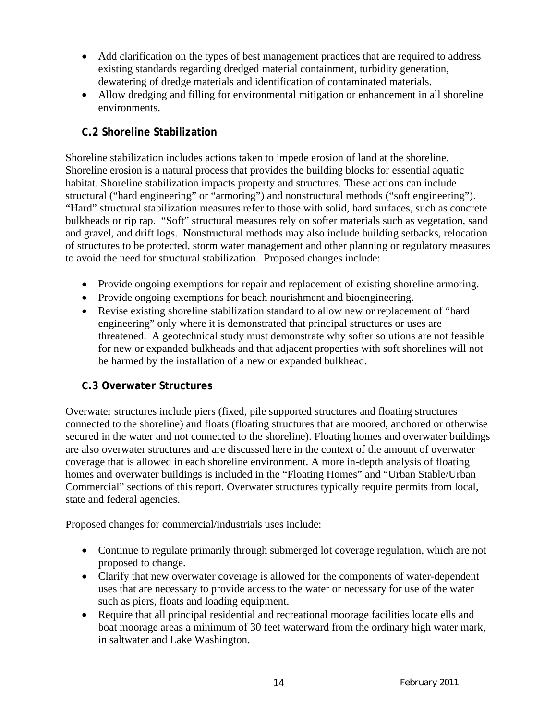- Add clarification on the types of best management practices that are required to address existing standards regarding dredged material containment, turbidity generation, dewatering of dredge materials and identification of contaminated materials.
- Allow dredging and filling for environmental mitigation or enhancement in all shoreline environments.

# **C.2 Shoreline Stabilization**

Shoreline stabilization includes actions taken to impede erosion of land at the shoreline. Shoreline erosion is a natural process that provides the building blocks for essential aquatic habitat. Shoreline stabilization impacts property and structures. These actions can include structural ("hard engineering" or "armoring") and nonstructural methods ("soft engineering"). "Hard" structural stabilization measures refer to those with solid, hard surfaces, such as concrete bulkheads or rip rap. "Soft" structural measures rely on softer materials such as vegetation, sand and gravel, and drift logs. Nonstructural methods may also include building setbacks, relocation of structures to be protected, storm water management and other planning or regulatory measures to avoid the need for structural stabilization. Proposed changes include:

- Provide ongoing exemptions for repair and replacement of existing shoreline armoring.
- Provide ongoing exemptions for beach nourishment and bioengineering.
- Revise existing shoreline stabilization standard to allow new or replacement of "hard engineering" only where it is demonstrated that principal structures or uses are threatened. A geotechnical study must demonstrate why softer solutions are not feasible for new or expanded bulkheads and that adjacent properties with soft shorelines will not be harmed by the installation of a new or expanded bulkhead.

# **C.3 Overwater Structures**

Overwater structures include piers (fixed, pile supported structures and floating structures connected to the shoreline) and floats (floating structures that are moored, anchored or otherwise secured in the water and not connected to the shoreline). Floating homes and overwater buildings are also overwater structures and are discussed here in the context of the amount of overwater coverage that is allowed in each shoreline environment. A more in-depth analysis of floating homes and overwater buildings is included in the "Floating Homes" and "Urban Stable/Urban Commercial" sections of this report. Overwater structures typically require permits from local, state and federal agencies.

Proposed changes for commercial/industrials uses include:

- Continue to regulate primarily through submerged lot coverage regulation, which are not proposed to change.
- Clarify that new overwater coverage is allowed for the components of water-dependent uses that are necessary to provide access to the water or necessary for use of the water such as piers, floats and loading equipment.
- Require that all principal residential and recreational moorage facilities locate ells and boat moorage areas a minimum of 30 feet waterward from the ordinary high water mark, in saltwater and Lake Washington.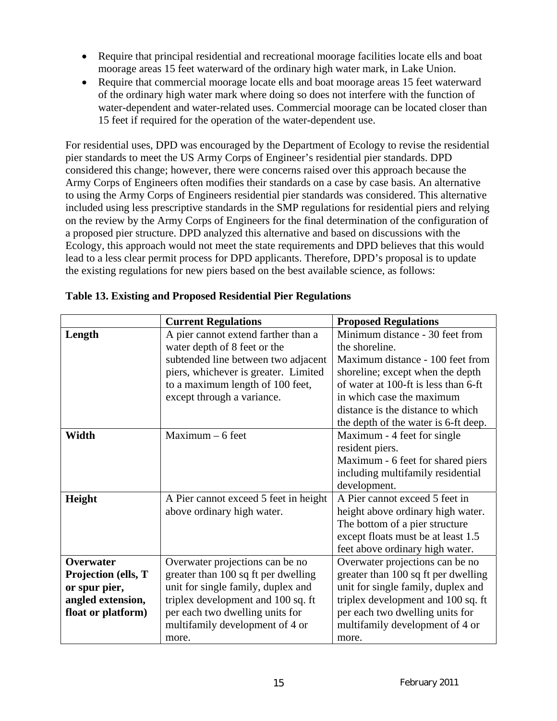- Require that principal residential and recreational moorage facilities locate ells and boat moorage areas 15 feet waterward of the ordinary high water mark, in Lake Union.
- Require that commercial moorage locate ells and boat moorage areas 15 feet waterward of the ordinary high water mark where doing so does not interfere with the function of water-dependent and water-related uses. Commercial moorage can be located closer than 15 feet if required for the operation of the water-dependent use.

For residential uses, DPD was encouraged by the Department of Ecology to revise the residential pier standards to meet the US Army Corps of Engineer's residential pier standards. DPD considered this change; however, there were concerns raised over this approach because the Army Corps of Engineers often modifies their standards on a case by case basis. An alternative to using the Army Corps of Engineers residential pier standards was considered. This alternative included using less prescriptive standards in the SMP regulations for residential piers and relying on the review by the Army Corps of Engineers for the final determination of the configuration of a proposed pier structure. DPD analyzed this alternative and based on discussions with the Ecology, this approach would not meet the state requirements and DPD believes that this would lead to a less clear permit process for DPD applicants. Therefore, DPD's proposal is to update the existing regulations for new piers based on the best available science, as follows:

|                     | <b>Current Regulations</b>            | <b>Proposed Regulations</b>          |
|---------------------|---------------------------------------|--------------------------------------|
| Length              | A pier cannot extend farther than a   | Minimum distance - 30 feet from      |
|                     | water depth of 8 feet or the          | the shoreline.                       |
|                     | subtended line between two adjacent   | Maximum distance - 100 feet from     |
|                     | piers, whichever is greater. Limited  | shoreline; except when the depth     |
|                     | to a maximum length of 100 feet,      | of water at 100-ft is less than 6-ft |
|                     | except through a variance.            | in which case the maximum            |
|                     |                                       | distance is the distance to which    |
|                     |                                       | the depth of the water is 6-ft deep. |
| Width               | $Maximum - 6 feet$                    | Maximum - 4 feet for single          |
|                     |                                       | resident piers.                      |
|                     |                                       | Maximum - 6 feet for shared piers    |
|                     |                                       | including multifamily residential    |
|                     |                                       | development.                         |
| Height              | A Pier cannot exceed 5 feet in height | A Pier cannot exceed 5 feet in       |
|                     | above ordinary high water.            | height above ordinary high water.    |
|                     |                                       | The bottom of a pier structure       |
|                     |                                       | except floats must be at least 1.5   |
|                     |                                       | feet above ordinary high water.      |
| <b>Overwater</b>    | Overwater projections can be no       | Overwater projections can be no      |
| Projection (ells, T | greater than 100 sq ft per dwelling   | greater than 100 sq ft per dwelling  |
| or spur pier,       | unit for single family, duplex and    | unit for single family, duplex and   |
| angled extension,   | triplex development and 100 sq. ft    | triplex development and 100 sq. ft   |
| float or platform)  | per each two dwelling units for       | per each two dwelling units for      |
|                     | multifamily development of 4 or       | multifamily development of 4 or      |
|                     | more.                                 | more.                                |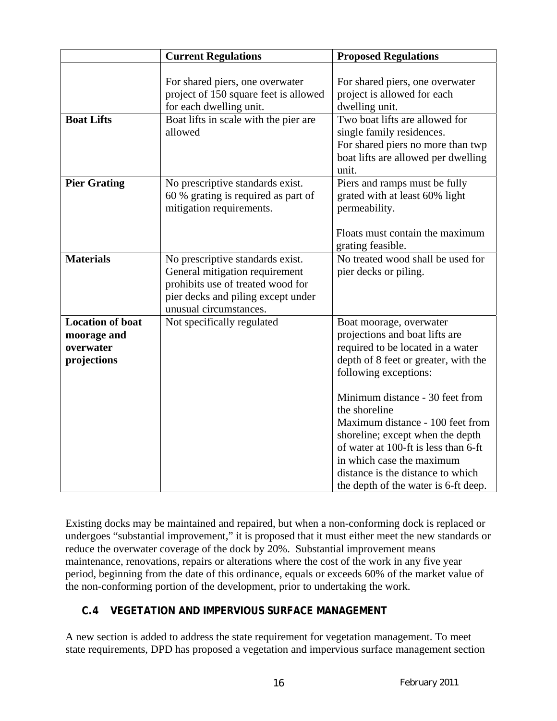|                                                                    | <b>Current Regulations</b>                                                                                                                                              | <b>Proposed Regulations</b>                                                                                                                                                                                                                                                                                                                                                                                                                   |
|--------------------------------------------------------------------|-------------------------------------------------------------------------------------------------------------------------------------------------------------------------|-----------------------------------------------------------------------------------------------------------------------------------------------------------------------------------------------------------------------------------------------------------------------------------------------------------------------------------------------------------------------------------------------------------------------------------------------|
|                                                                    | For shared piers, one overwater<br>project of 150 square feet is allowed<br>for each dwelling unit.                                                                     | For shared piers, one overwater<br>project is allowed for each<br>dwelling unit.                                                                                                                                                                                                                                                                                                                                                              |
| <b>Boat Lifts</b>                                                  | Boat lifts in scale with the pier are<br>allowed                                                                                                                        | Two boat lifts are allowed for<br>single family residences.<br>For shared piers no more than twp<br>boat lifts are allowed per dwelling<br>unit.                                                                                                                                                                                                                                                                                              |
| <b>Pier Grating</b>                                                | No prescriptive standards exist.<br>60 % grating is required as part of<br>mitigation requirements.                                                                     | Piers and ramps must be fully<br>grated with at least 60% light<br>permeability.<br>Floats must contain the maximum<br>grating feasible.                                                                                                                                                                                                                                                                                                      |
| <b>Materials</b>                                                   | No prescriptive standards exist.<br>General mitigation requirement<br>prohibits use of treated wood for<br>pier decks and piling except under<br>unusual circumstances. | No treated wood shall be used for<br>pier decks or piling.                                                                                                                                                                                                                                                                                                                                                                                    |
| <b>Location of boat</b><br>moorage and<br>overwater<br>projections | Not specifically regulated                                                                                                                                              | Boat moorage, overwater<br>projections and boat lifts are<br>required to be located in a water<br>depth of 8 feet or greater, with the<br>following exceptions:<br>Minimum distance - 30 feet from<br>the shoreline<br>Maximum distance - 100 feet from<br>shoreline; except when the depth<br>of water at 100-ft is less than 6-ft<br>in which case the maximum<br>distance is the distance to which<br>the depth of the water is 6-ft deep. |

Existing docks may be maintained and repaired, but when a non-conforming dock is replaced or undergoes "substantial improvement," it is proposed that it must either meet the new standards or reduce the overwater coverage of the dock by 20%. Substantial improvement means maintenance, renovations, repairs or alterations where the cost of the work in any five year period, beginning from the date of this ordinance, equals or exceeds 60% of the market value of the non-conforming portion of the development, prior to undertaking the work.

# **C.4 VEGETATION AND IMPERVIOUS SURFACE MANAGEMENT**

A new section is added to address the state requirement for vegetation management. To meet state requirements, DPD has proposed a vegetation and impervious surface management section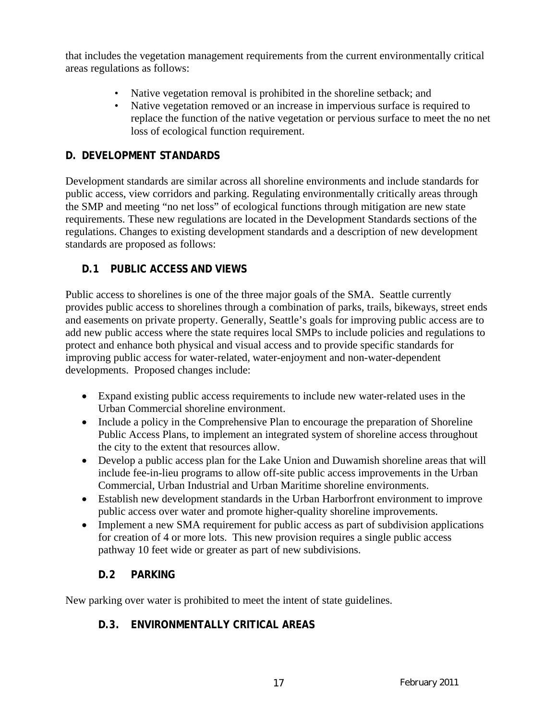that includes the vegetation management requirements from the current environmentally critical areas regulations as follows:

- Native vegetation removal is prohibited in the shoreline setback; and
- Native vegetation removed or an increase in impervious surface is required to replace the function of the native vegetation or pervious surface to meet the no net loss of ecological function requirement.

# **D. DEVELOPMENT STANDARDS**

Development standards are similar across all shoreline environments and include standards for public access, view corridors and parking. Regulating environmentally critically areas through the SMP and meeting "no net loss" of ecological functions through mitigation are new state requirements. These new regulations are located in the Development Standards sections of the regulations. Changes to existing development standards and a description of new development standards are proposed as follows:

# **D.1 PUBLIC ACCESS AND VIEWS**

Public access to shorelines is one of the three major goals of the SMA. Seattle currently provides public access to shorelines through a combination of parks, trails, bikeways, street ends and easements on private property. Generally, Seattle's goals for improving public access are to add new public access where the state requires local SMPs to include policies and regulations to protect and enhance both physical and visual access and to provide specific standards for improving public access for water-related, water-enjoyment and non-water-dependent developments. Proposed changes include:

- Expand existing public access requirements to include new water-related uses in the Urban Commercial shoreline environment.
- Include a policy in the Comprehensive Plan to encourage the preparation of Shoreline Public Access Plans, to implement an integrated system of shoreline access throughout the city to the extent that resources allow.
- Develop a public access plan for the Lake Union and Duwamish shoreline areas that will include fee-in-lieu programs to allow off-site public access improvements in the Urban Commercial, Urban Industrial and Urban Maritime shoreline environments.
- Establish new development standards in the Urban Harborfront environment to improve public access over water and promote higher-quality shoreline improvements.
- Implement a new SMA requirement for public access as part of subdivision applications for creation of 4 or more lots. This new provision requires a single public access pathway 10 feet wide or greater as part of new subdivisions.

# **D.2 PARKING**

New parking over water is prohibited to meet the intent of state guidelines.

# **D.3. ENVIRONMENTALLY CRITICAL AREAS**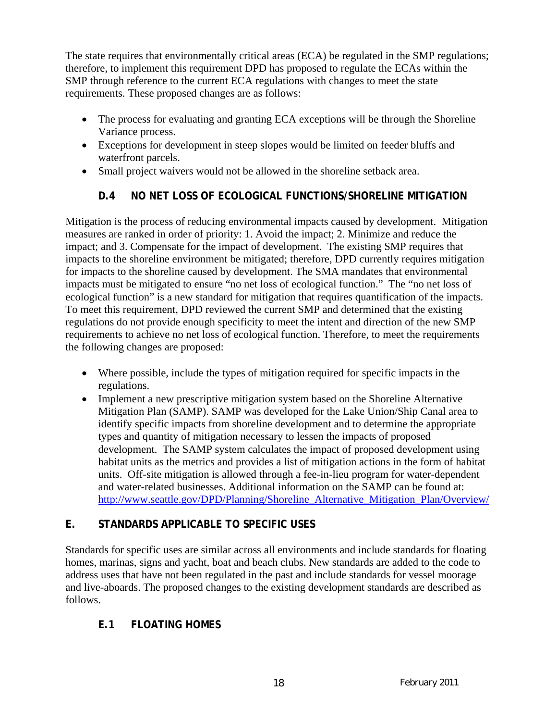The state requires that environmentally critical areas (ECA) be regulated in the SMP regulations; therefore, to implement this requirement DPD has proposed to regulate the ECAs within the SMP through reference to the current ECA regulations with changes to meet the state requirements. These proposed changes are as follows:

- The process for evaluating and granting ECA exceptions will be through the Shoreline Variance process.
- Exceptions for development in steep slopes would be limited on feeder bluffs and waterfront parcels.
- Small project waivers would not be allowed in the shoreline setback area.

# **D.4 NO NET LOSS OF ECOLOGICAL FUNCTIONS/SHORELINE MITIGATION**

Mitigation is the process of reducing environmental impacts caused by development. Mitigation measures are ranked in order of priority: 1. Avoid the impact; 2. Minimize and reduce the impact; and 3. Compensate for the impact of development. The existing SMP requires that impacts to the shoreline environment be mitigated; therefore, DPD currently requires mitigation for impacts to the shoreline caused by development. The SMA mandates that environmental impacts must be mitigated to ensure "no net loss of ecological function." The "no net loss of ecological function" is a new standard for mitigation that requires quantification of the impacts. To meet this requirement, DPD reviewed the current SMP and determined that the existing regulations do not provide enough specificity to meet the intent and direction of the new SMP requirements to achieve no net loss of ecological function. Therefore, to meet the requirements the following changes are proposed:

- Where possible, include the types of mitigation required for specific impacts in the regulations.
- Implement a new prescriptive mitigation system based on the Shoreline Alternative Mitigation Plan (SAMP). SAMP was developed for the Lake Union/Ship Canal area to identify specific impacts from shoreline development and to determine the appropriate types and quantity of mitigation necessary to lessen the impacts of proposed development. The SAMP system calculates the impact of proposed development using habitat units as the metrics and provides a list of mitigation actions in the form of habitat units. Off-site mitigation is allowed through a fee-in-lieu program for water-dependent and water-related businesses. Additional information on the SAMP can be found at: http://www.seattle.gov/DPD/Planning/Shoreline\_Alternative\_Mitigation\_Plan/Overview/

# **E. STANDARDS APPLICABLE TO SPECIFIC USES**

Standards for specific uses are similar across all environments and include standards for floating homes, marinas, signs and yacht, boat and beach clubs. New standards are added to the code to address uses that have not been regulated in the past and include standards for vessel moorage and live-aboards. The proposed changes to the existing development standards are described as follows.

# **E.1 FLOATING HOMES**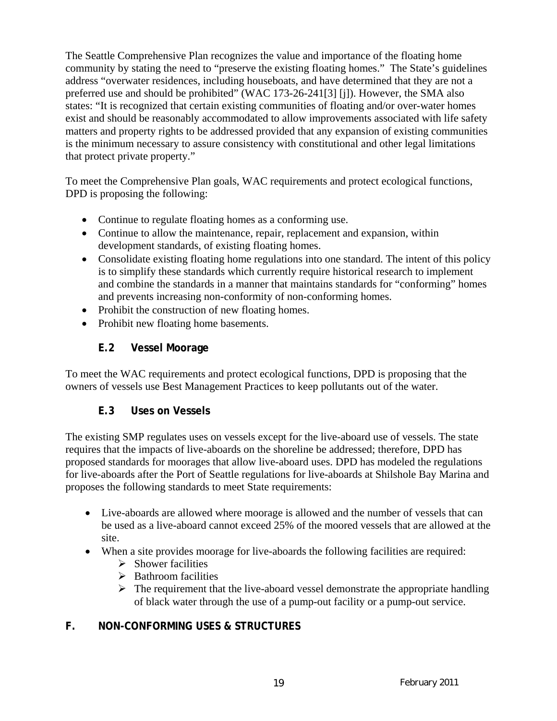The Seattle Comprehensive Plan recognizes the value and importance of the floating home community by stating the need to "preserve the existing floating homes." The State's guidelines address "overwater residences, including houseboats, and have determined that they are not a preferred use and should be prohibited" (WAC 173-26-241[3] [j]). However, the SMA also states: "It is recognized that certain existing communities of floating and/or over-water homes exist and should be reasonably accommodated to allow improvements associated with life safety matters and property rights to be addressed provided that any expansion of existing communities is the minimum necessary to assure consistency with constitutional and other legal limitations that protect private property."

To meet the Comprehensive Plan goals, WAC requirements and protect ecological functions, DPD is proposing the following:

- Continue to regulate floating homes as a conforming use.
- Continue to allow the maintenance, repair, replacement and expansion, within development standards, of existing floating homes.
- Consolidate existing floating home regulations into one standard. The intent of this policy is to simplify these standards which currently require historical research to implement and combine the standards in a manner that maintains standards for "conforming" homes and prevents increasing non-conformity of non-conforming homes.
- Prohibit the construction of new floating homes.
- Prohibit new floating home basements.

## **E.2 Vessel Moorage**

To meet the WAC requirements and protect ecological functions, DPD is proposing that the owners of vessels use Best Management Practices to keep pollutants out of the water.

# **E.3 Uses on Vessels**

The existing SMP regulates uses on vessels except for the live-aboard use of vessels. The state requires that the impacts of live-aboards on the shoreline be addressed; therefore, DPD has proposed standards for moorages that allow live-aboard uses. DPD has modeled the regulations for live-aboards after the Port of Seattle regulations for live-aboards at Shilshole Bay Marina and proposes the following standards to meet State requirements:

- Live-aboards are allowed where moorage is allowed and the number of vessels that can be used as a live-aboard cannot exceed 25% of the moored vessels that are allowed at the site.
- When a site provides moorage for live-aboards the following facilities are required:
	- $\triangleright$  Shower facilities
	- $\triangleright$  Bathroom facilities
	- $\triangleright$  The requirement that the live-aboard vessel demonstrate the appropriate handling of black water through the use of a pump-out facility or a pump-out service.

# **F. NON-CONFORMING USES & STRUCTURES**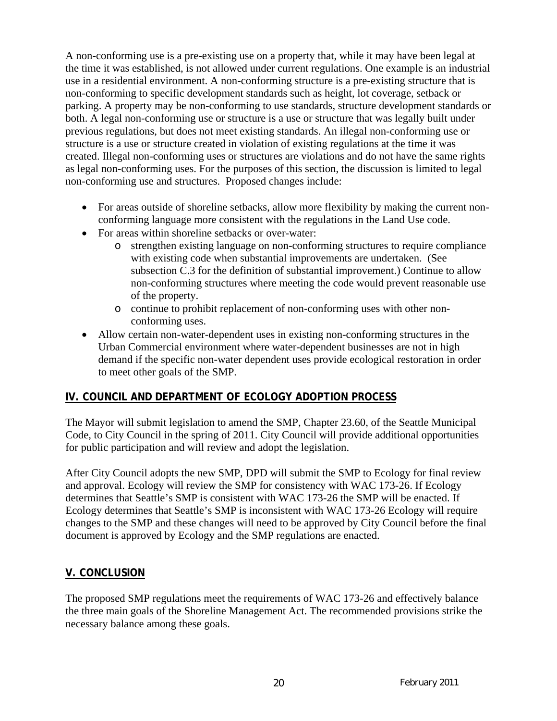A non-conforming use is a pre-existing use on a property that, while it may have been legal at the time it was established, is not allowed under current regulations. One example is an industrial use in a residential environment. A non-conforming structure is a pre-existing structure that is non-conforming to specific development standards such as height, lot coverage, setback or parking. A property may be non-conforming to use standards, structure development standards or both. A legal non-conforming use or structure is a use or structure that was legally built under previous regulations, but does not meet existing standards. An illegal non-conforming use or structure is a use or structure created in violation of existing regulations at the time it was created. Illegal non-conforming uses or structures are violations and do not have the same rights as legal non-conforming uses. For the purposes of this section, the discussion is limited to legal non-conforming use and structures. Proposed changes include:

- For areas outside of shoreline setbacks, allow more flexibility by making the current nonconforming language more consistent with the regulations in the Land Use code.
- For areas within shoreline setbacks or over-water:
	- o strengthen existing language on non-conforming structures to require compliance with existing code when substantial improvements are undertaken. (See subsection C.3 for the definition of substantial improvement.) Continue to allow non-conforming structures where meeting the code would prevent reasonable use of the property.
	- o continue to prohibit replacement of non-conforming uses with other nonconforming uses.
- Allow certain non-water-dependent uses in existing non-conforming structures in the Urban Commercial environment where water-dependent businesses are not in high demand if the specific non-water dependent uses provide ecological restoration in order to meet other goals of the SMP.

# **IV. COUNCIL AND DEPARTMENT OF ECOLOGY ADOPTION PROCESS**

The Mayor will submit legislation to amend the SMP, Chapter 23.60, of the Seattle Municipal Code, to City Council in the spring of 2011. City Council will provide additional opportunities for public participation and will review and adopt the legislation.

After City Council adopts the new SMP, DPD will submit the SMP to Ecology for final review and approval. Ecology will review the SMP for consistency with WAC 173-26. If Ecology determines that Seattle's SMP is consistent with WAC 173-26 the SMP will be enacted. If Ecology determines that Seattle's SMP is inconsistent with WAC 173-26 Ecology will require changes to the SMP and these changes will need to be approved by City Council before the final document is approved by Ecology and the SMP regulations are enacted.

# **V. CONCLUSION**

The proposed SMP regulations meet the requirements of WAC 173-26 and effectively balance the three main goals of the Shoreline Management Act. The recommended provisions strike the necessary balance among these goals.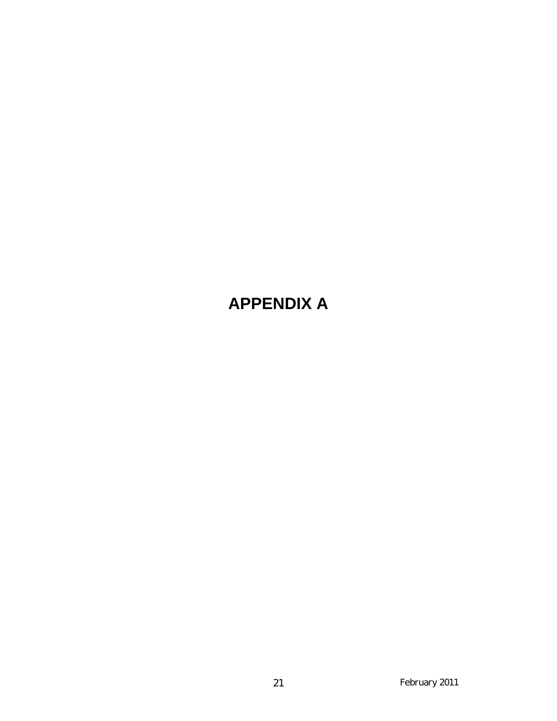# **APPENDIX A**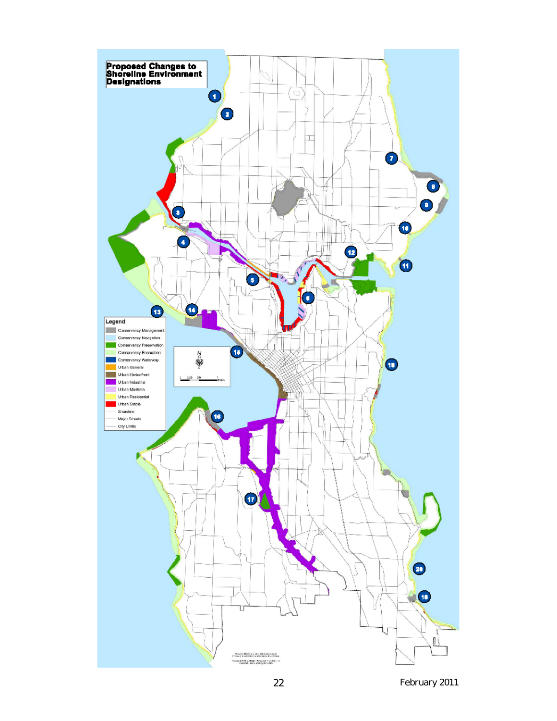

 *February 2011* 22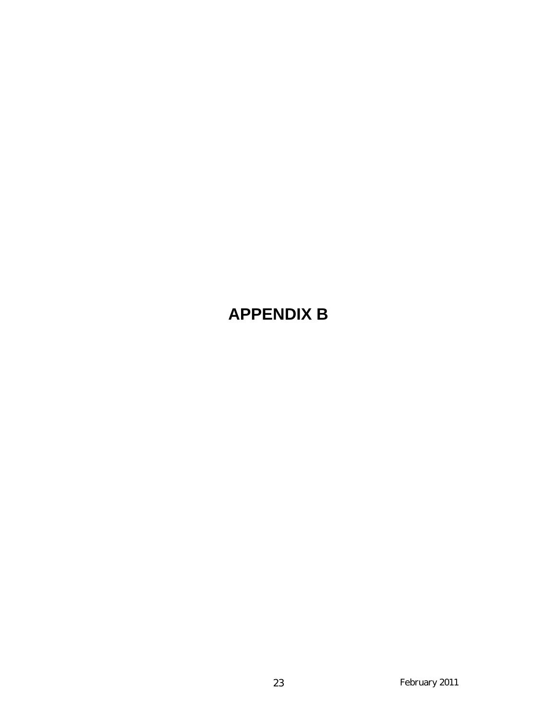# **APPENDIX B**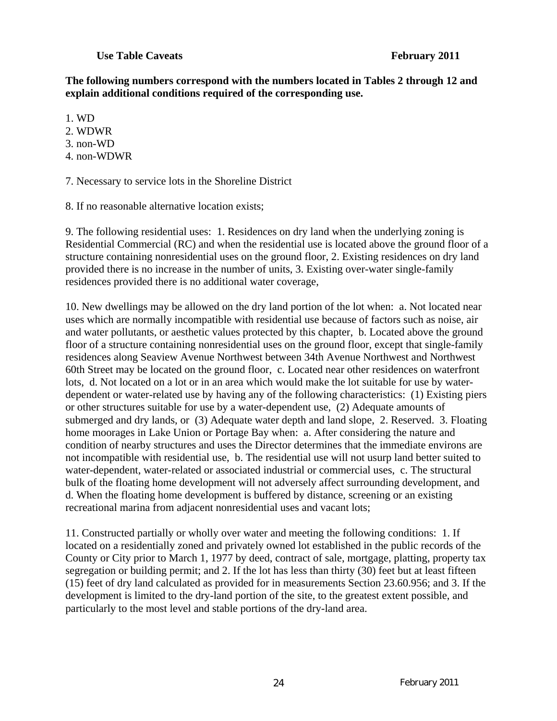#### **Use Table Caveats February 2011**

### **The following numbers correspond with the numbers located in Tables 2 through 12 and explain additional conditions required of the corresponding use.**

- 1. WD
- 2. WDWR
- 3. non-WD
- 4. non-WDWR

7. Necessary to service lots in the Shoreline District

8. If no reasonable alternative location exists;

9. The following residential uses: 1. Residences on dry land when the underlying zoning is Residential Commercial (RC) and when the residential use is located above the ground floor of a structure containing nonresidential uses on the ground floor, 2. Existing residences on dry land provided there is no increase in the number of units, 3. Existing over-water single-family residences provided there is no additional water coverage,

10. New dwellings may be allowed on the dry land portion of the lot when: a. Not located near uses which are normally incompatible with residential use because of factors such as noise, air and water pollutants, or aesthetic values protected by this chapter, b. Located above the ground floor of a structure containing nonresidential uses on the ground floor, except that single-family residences along Seaview Avenue Northwest between 34th Avenue Northwest and Northwest 60th Street may be located on the ground floor, c. Located near other residences on waterfront lots, d. Not located on a lot or in an area which would make the lot suitable for use by waterdependent or water-related use by having any of the following characteristics: (1) Existing piers or other structures suitable for use by a water-dependent use, (2) Adequate amounts of submerged and dry lands, or (3) Adequate water depth and land slope, 2. Reserved. 3. Floating home moorages in Lake Union or Portage Bay when: a. After considering the nature and condition of nearby structures and uses the Director determines that the immediate environs are not incompatible with residential use, b. The residential use will not usurp land better suited to water-dependent, water-related or associated industrial or commercial uses, c. The structural bulk of the floating home development will not adversely affect surrounding development, and d. When the floating home development is buffered by distance, screening or an existing recreational marina from adjacent nonresidential uses and vacant lots;

11. Constructed partially or wholly over water and meeting the following conditions: 1. If located on a residentially zoned and privately owned lot established in the public records of the County or City prior to March 1, 1977 by deed, contract of sale, mortgage, platting, property tax segregation or building permit; and 2. If the lot has less than thirty (30) feet but at least fifteen (15) feet of dry land calculated as provided for in measurements Section 23.60.956; and 3. If the development is limited to the dry-land portion of the site, to the greatest extent possible, and particularly to the most level and stable portions of the dry-land area.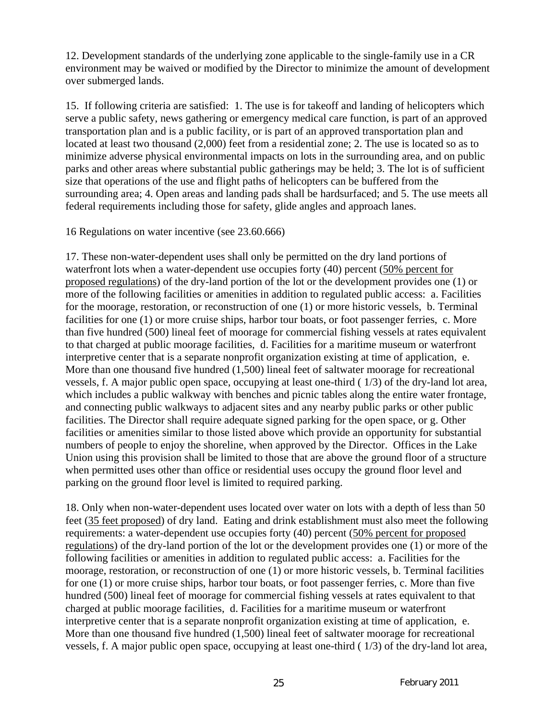12. Development standards of the underlying zone applicable to the single-family use in a CR environment may be waived or modified by the Director to minimize the amount of development over submerged lands.

15. If following criteria are satisfied: 1. The use is for takeoff and landing of helicopters which serve a public safety, news gathering or emergency medical care function, is part of an approved transportation plan and is a public facility, or is part of an approved transportation plan and located at least two thousand (2,000) feet from a residential zone; 2. The use is located so as to minimize adverse physical environmental impacts on lots in the surrounding area, and on public parks and other areas where substantial public gatherings may be held; 3. The lot is of sufficient size that operations of the use and flight paths of helicopters can be buffered from the surrounding area; 4. Open areas and landing pads shall be hardsurfaced; and 5. The use meets all federal requirements including those for safety, glide angles and approach lanes.

16 Regulations on water incentive (see 23.60.666)

17. These non-water-dependent uses shall only be permitted on the dry land portions of waterfront lots when a water-dependent use occupies forty (40) percent (50% percent for proposed regulations) of the dry-land portion of the lot or the development provides one (1) or more of the following facilities or amenities in addition to regulated public access: a. Facilities for the moorage, restoration, or reconstruction of one (1) or more historic vessels, b. Terminal facilities for one (1) or more cruise ships, harbor tour boats, or foot passenger ferries, c. More than five hundred (500) lineal feet of moorage for commercial fishing vessels at rates equivalent to that charged at public moorage facilities, d. Facilities for a maritime museum or waterfront interpretive center that is a separate nonprofit organization existing at time of application, e. More than one thousand five hundred (1,500) lineal feet of saltwater moorage for recreational vessels, f. A major public open space, occupying at least one-third ( 1/3) of the dry-land lot area, which includes a public walkway with benches and picnic tables along the entire water frontage, and connecting public walkways to adjacent sites and any nearby public parks or other public facilities. The Director shall require adequate signed parking for the open space, or g. Other facilities or amenities similar to those listed above which provide an opportunity for substantial numbers of people to enjoy the shoreline, when approved by the Director. Offices in the Lake Union using this provision shall be limited to those that are above the ground floor of a structure when permitted uses other than office or residential uses occupy the ground floor level and parking on the ground floor level is limited to required parking.

18. Only when non-water-dependent uses located over water on lots with a depth of less than 50 feet (35 feet proposed) of dry land. Eating and drink establishment must also meet the following requirements: a water-dependent use occupies forty (40) percent (50% percent for proposed regulations) of the dry-land portion of the lot or the development provides one (1) or more of the following facilities or amenities in addition to regulated public access: a. Facilities for the moorage, restoration, or reconstruction of one (1) or more historic vessels, b. Terminal facilities for one (1) or more cruise ships, harbor tour boats, or foot passenger ferries, c. More than five hundred (500) lineal feet of moorage for commercial fishing vessels at rates equivalent to that charged at public moorage facilities, d. Facilities for a maritime museum or waterfront interpretive center that is a separate nonprofit organization existing at time of application, e. More than one thousand five hundred (1,500) lineal feet of saltwater moorage for recreational vessels, f. A major public open space, occupying at least one-third ( 1/3) of the dry-land lot area,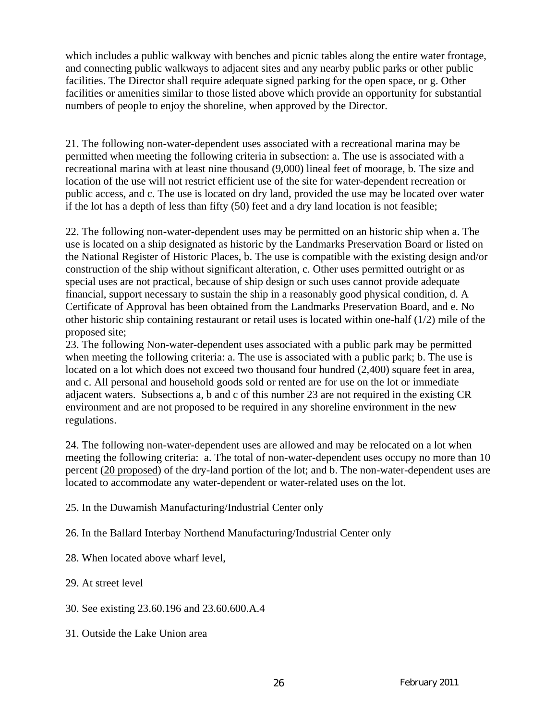which includes a public walkway with benches and picnic tables along the entire water frontage, and connecting public walkways to adjacent sites and any nearby public parks or other public facilities. The Director shall require adequate signed parking for the open space, or g. Other facilities or amenities similar to those listed above which provide an opportunity for substantial numbers of people to enjoy the shoreline, when approved by the Director.

21. The following non-water-dependent uses associated with a recreational marina may be permitted when meeting the following criteria in subsection: a. The use is associated with a recreational marina with at least nine thousand (9,000) lineal feet of moorage, b. The size and location of the use will not restrict efficient use of the site for water-dependent recreation or public access, and c. The use is located on dry land, provided the use may be located over water if the lot has a depth of less than fifty (50) feet and a dry land location is not feasible;

22. The following non-water-dependent uses may be permitted on an historic ship when a. The use is located on a ship designated as historic by the Landmarks Preservation Board or listed on the National Register of Historic Places, b. The use is compatible with the existing design and/or construction of the ship without significant alteration, c. Other uses permitted outright or as special uses are not practical, because of ship design or such uses cannot provide adequate financial, support necessary to sustain the ship in a reasonably good physical condition, d. A Certificate of Approval has been obtained from the Landmarks Preservation Board, and e. No other historic ship containing restaurant or retail uses is located within one-half (1/2) mile of the proposed site;

23. The following Non-water-dependent uses associated with a public park may be permitted when meeting the following criteria: a. The use is associated with a public park; b. The use is located on a lot which does not exceed two thousand four hundred  $(2,400)$  square feet in area, and c. All personal and household goods sold or rented are for use on the lot or immediate adjacent waters. Subsections a, b and c of this number 23 are not required in the existing CR environment and are not proposed to be required in any shoreline environment in the new regulations.

24. The following non-water-dependent uses are allowed and may be relocated on a lot when meeting the following criteria: a. The total of non-water-dependent uses occupy no more than 10 percent (20 proposed) of the dry-land portion of the lot; and b. The non-water-dependent uses are located to accommodate any water-dependent or water-related uses on the lot.

25. In the Duwamish Manufacturing/Industrial Center only

26. In the Ballard Interbay Northend Manufacturing/Industrial Center only

28. When located above wharf level,

29. At street level

- 30. See existing 23.60.196 and 23.60.600.A.4
- 31. Outside the Lake Union area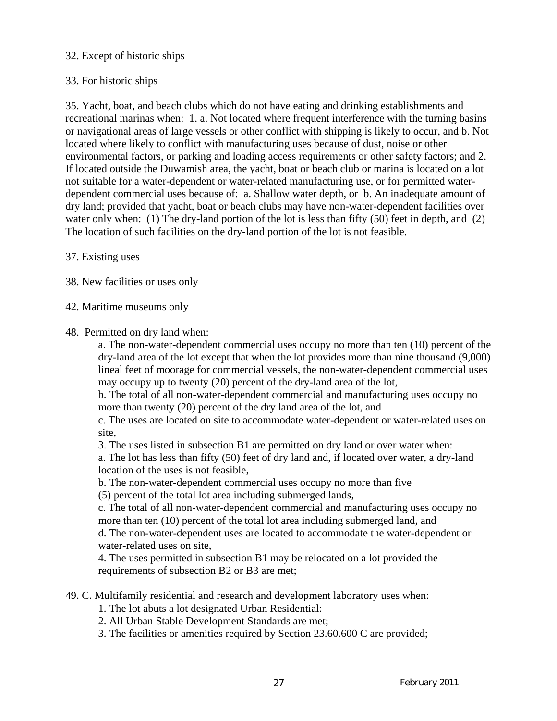### 32. Except of historic ships

## 33. For historic ships

35. Yacht, boat, and beach clubs which do not have eating and drinking establishments and recreational marinas when: 1. a. Not located where frequent interference with the turning basins or navigational areas of large vessels or other conflict with shipping is likely to occur, and b. Not located where likely to conflict with manufacturing uses because of dust, noise or other environmental factors, or parking and loading access requirements or other safety factors; and 2. If located outside the Duwamish area, the yacht, boat or beach club or marina is located on a lot not suitable for a water-dependent or water-related manufacturing use, or for permitted waterdependent commercial uses because of: a. Shallow water depth, or b. An inadequate amount of dry land; provided that yacht, boat or beach clubs may have non-water-dependent facilities over water only when: (1) The dry-land portion of the lot is less than fifty (50) feet in depth, and (2) The location of such facilities on the dry-land portion of the lot is not feasible.

#### 37. Existing uses

38. New facilities or uses only

42. Maritime museums only

48. Permitted on dry land when:

a. The non-water-dependent commercial uses occupy no more than ten (10) percent of the dry-land area of the lot except that when the lot provides more than nine thousand (9,000) lineal feet of moorage for commercial vessels, the non-water-dependent commercial uses may occupy up to twenty (20) percent of the dry-land area of the lot,

b. The total of all non-water-dependent commercial and manufacturing uses occupy no more than twenty (20) percent of the dry land area of the lot, and

c. The uses are located on site to accommodate water-dependent or water-related uses on site,

3. The uses listed in subsection B1 are permitted on dry land or over water when:

a. The lot has less than fifty (50) feet of dry land and, if located over water, a dry-land location of the uses is not feasible,

b. The non-water-dependent commercial uses occupy no more than five

(5) percent of the total lot area including submerged lands,

c. The total of all non-water-dependent commercial and manufacturing uses occupy no more than ten (10) percent of the total lot area including submerged land, and d. The non-water-dependent uses are located to accommodate the water-dependent or

water-related uses on site,

4. The uses permitted in subsection B1 may be relocated on a lot provided the requirements of subsection B2 or B3 are met;

49. C. Multifamily residential and research and development laboratory uses when:

1. The lot abuts a lot designated Urban Residential:

2. All Urban Stable Development Standards are met;

3. The facilities or amenities required by Section 23.60.600 C are provided;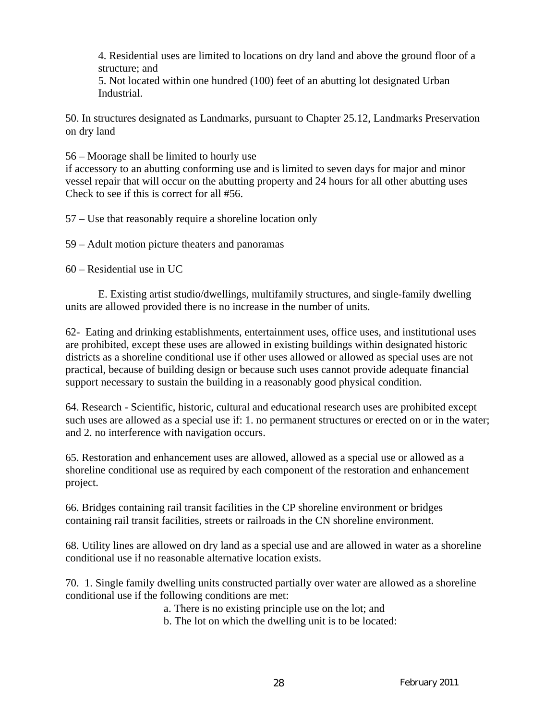4. Residential uses are limited to locations on dry land and above the ground floor of a structure; and

5. Not located within one hundred (100) feet of an abutting lot designated Urban Industrial.

50. In structures designated as Landmarks, pursuant to Chapter 25.12, Landmarks Preservation on dry land

56 – Moorage shall be limited to hourly use

if accessory to an abutting conforming use and is limited to seven days for major and minor vessel repair that will occur on the abutting property and 24 hours for all other abutting uses Check to see if this is correct for all #56.

57 – Use that reasonably require a shoreline location only

59 – Adult motion picture theaters and panoramas

60 – Residential use in UC

E. Existing artist studio/dwellings, multifamily structures, and single-family dwelling units are allowed provided there is no increase in the number of units.

62- Eating and drinking establishments, entertainment uses, office uses, and institutional uses are prohibited, except these uses are allowed in existing buildings within designated historic districts as a shoreline conditional use if other uses allowed or allowed as special uses are not practical, because of building design or because such uses cannot provide adequate financial support necessary to sustain the building in a reasonably good physical condition.

64. Research - Scientific, historic, cultural and educational research uses are prohibited except such uses are allowed as a special use if: 1. no permanent structures or erected on or in the water; and 2. no interference with navigation occurs.

65. Restoration and enhancement uses are allowed, allowed as a special use or allowed as a shoreline conditional use as required by each component of the restoration and enhancement project.

66. Bridges containing rail transit facilities in the CP shoreline environment or bridges containing rail transit facilities, streets or railroads in the CN shoreline environment.

68. Utility lines are allowed on dry land as a special use and are allowed in water as a shoreline conditional use if no reasonable alternative location exists.

70. 1. Single family dwelling units constructed partially over water are allowed as a shoreline conditional use if the following conditions are met:

a. There is no existing principle use on the lot; and

b. The lot on which the dwelling unit is to be located: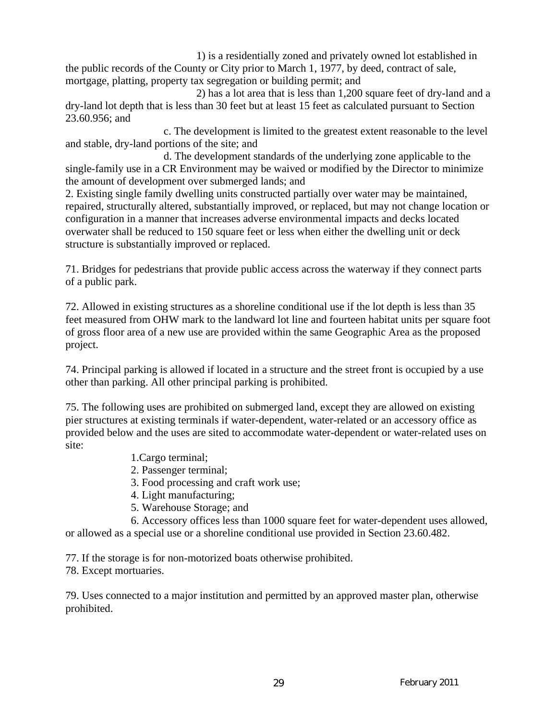1) is a residentially zoned and privately owned lot established in the public records of the County or City prior to March 1, 1977, by deed, contract of sale, mortgage, platting, property tax segregation or building permit; and

2) has a lot area that is less than 1,200 square feet of dry-land and a dry-land lot depth that is less than 30 feet but at least 15 feet as calculated pursuant to Section 23.60.956; and

c. The development is limited to the greatest extent reasonable to the level and stable, dry-land portions of the site; and

d. The development standards of the underlying zone applicable to the single-family use in a CR Environment may be waived or modified by the Director to minimize the amount of development over submerged lands; and

2. Existing single family dwelling units constructed partially over water may be maintained, repaired, structurally altered, substantially improved, or replaced, but may not change location or configuration in a manner that increases adverse environmental impacts and decks located overwater shall be reduced to 150 square feet or less when either the dwelling unit or deck structure is substantially improved or replaced.

71. Bridges for pedestrians that provide public access across the waterway if they connect parts of a public park.

72. Allowed in existing structures as a shoreline conditional use if the lot depth is less than 35 feet measured from OHW mark to the landward lot line and fourteen habitat units per square foot of gross floor area of a new use are provided within the same Geographic Area as the proposed project.

74. Principal parking is allowed if located in a structure and the street front is occupied by a use other than parking. All other principal parking is prohibited.

75. The following uses are prohibited on submerged land, except they are allowed on existing pier structures at existing terminals if water-dependent, water-related or an accessory office as provided below and the uses are sited to accommodate water-dependent or water-related uses on site:

- 1.Cargo terminal;
- 2. Passenger terminal;
- 3. Food processing and craft work use;
- 4. Light manufacturing;
- 5. Warehouse Storage; and

 6. Accessory offices less than 1000 square feet for water-dependent uses allowed, or allowed as a special use or a shoreline conditional use provided in Section 23.60.482.

77. If the storage is for non-motorized boats otherwise prohibited.

78. Except mortuaries.

79. Uses connected to a major institution and permitted by an approved master plan, otherwise prohibited.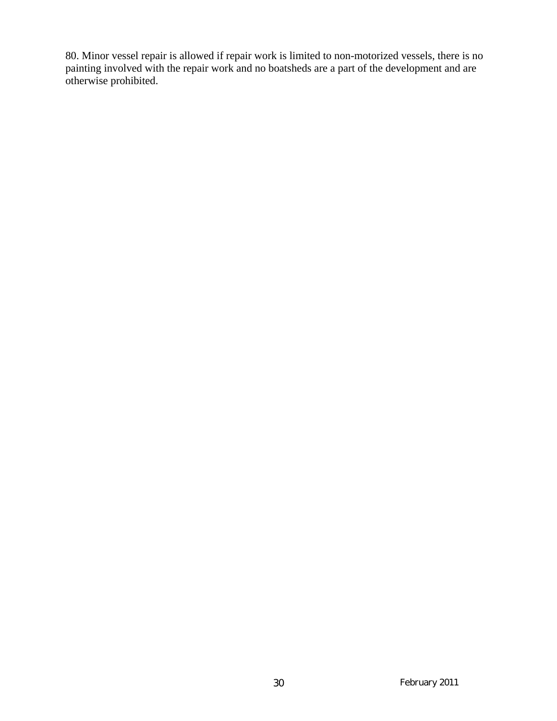80. Minor vessel repair is allowed if repair work is limited to non-motorized vessels, there is no painting involved with the repair work and no boatsheds are a part of the development and are otherwise prohibited.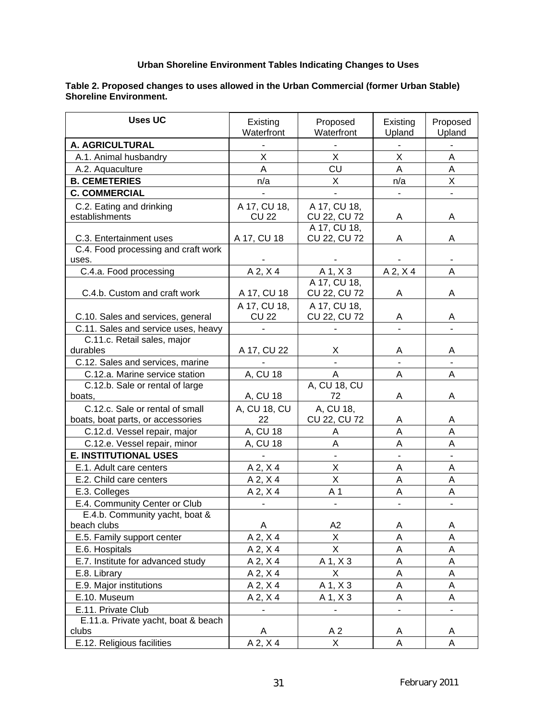#### **Urban Shoreline Environment Tables Indicating Changes to Uses**

#### **Table 2. Proposed changes to uses allowed in the Urban Commercial (former Urban Stable) Shoreline Environment.**

| <b>Uses UC</b>                      | Existing<br>Waterfront | Proposed<br>Waterfront | Existing<br>Upland | Proposed<br>Upland |
|-------------------------------------|------------------------|------------------------|--------------------|--------------------|
| A. AGRICULTURAL                     |                        |                        |                    |                    |
| A.1. Animal husbandry               | X                      | X                      | X                  | A                  |
| A.2. Aquaculture                    | A                      | CU                     | A                  | A                  |
| <b>B. CEMETERIES</b>                | n/a                    | X                      | n/a                | Χ                  |
| <b>C. COMMERCIAL</b>                |                        |                        |                    |                    |
| C.2. Eating and drinking            | A 17, CU 18,           | A 17, CU 18,           |                    |                    |
| establishments                      | <b>CU 22</b>           | CU 22, CU 72           | A                  | A                  |
|                                     |                        | A 17, CU 18,           |                    |                    |
| C.3. Entertainment uses             | A 17, CU 18            | CU 22, CU 72           | A                  | Α                  |
| C.4. Food processing and craft work |                        |                        |                    |                    |
| uses.                               |                        |                        |                    |                    |
| C.4.a. Food processing              | $A$ 2, $X$ 4           | A 1, X 3               | $A$ 2, $X$ 4       | A                  |
|                                     |                        | A 17, CU 18,           |                    |                    |
| C.4.b. Custom and craft work        | A 17, CU 18            | CU 22, CU 72           | A                  | Α                  |
|                                     | A 17, CU 18,           | A 17, CU 18,           |                    |                    |
| C.10. Sales and services, general   | <b>CU 22</b>           | CU 22, CU 72           | A                  | A                  |
| C.11. Sales and service uses, heavy |                        |                        |                    |                    |
| C.11.c. Retail sales, major         |                        |                        |                    |                    |
| durables                            | A 17, CU 22            | X                      | A                  | Α                  |
| C.12. Sales and services, marine    |                        |                        |                    |                    |
| C.12.a. Marine service station      | A, CU 18               | A                      | Α                  | A                  |
| C.12.b. Sale or rental of large     |                        | A, CU 18, CU           |                    |                    |
| boats,                              | A, CU 18               | 72                     | Α                  | Α                  |
| C.12.c. Sale or rental of small     | A, CU 18, CU           | A, CU 18,              |                    |                    |
| boats, boat parts, or accessories   | 22                     | CU 22, CU 72           | A                  | A                  |
| C.12.d. Vessel repair, major        | A, CU 18               | A                      | A                  | A                  |
| C.12.e. Vessel repair, minor        | A, CU 18               | Α                      | Α                  | Α                  |
| <b>E. INSTITUTIONAL USES</b>        |                        |                        |                    |                    |
| E.1. Adult care centers             | $A$ 2, $X$ 4           | X                      | A                  | Α                  |
| E.2. Child care centers             | A 2, X 4               | X                      | A                  | Α                  |
| E.3. Colleges                       | A 2, X 4               | A <sub>1</sub>         | Α                  | A                  |
| E.4. Community Center or Club       |                        |                        |                    |                    |
| E.4.b. Community yacht, boat &      |                        |                        |                    |                    |
| beach clubs                         | Α                      | A <sub>2</sub>         | Α                  | A                  |
| E.5. Family support center          | $A$ 2, $X$ 4           | X                      | A                  | A                  |
| E.6. Hospitals                      | A 2, X 4               | X                      | A                  | A                  |
| E.7. Institute for advanced study   | A 2, X 4               | A 1, X 3               | A                  | A                  |
| E.8. Library                        | A 2, X 4               | X                      | A                  | A                  |
| E.9. Major institutions             | $A$ 2, $X$ 4           | $A$ 1, $X$ 3           | Α                  | A                  |
| E.10. Museum                        | A 2, X 4               | A 1, X 3               | A                  | A                  |
| E.11. Private Club                  |                        |                        | -                  |                    |
| E.11.a. Private yacht, boat & beach |                        |                        |                    |                    |
| clubs                               | Α                      | A <sub>2</sub>         | A                  | A                  |
| E.12. Religious facilities          | $A$ 2, $X$ 4           | $\mathsf{X}$           | A                  | A                  |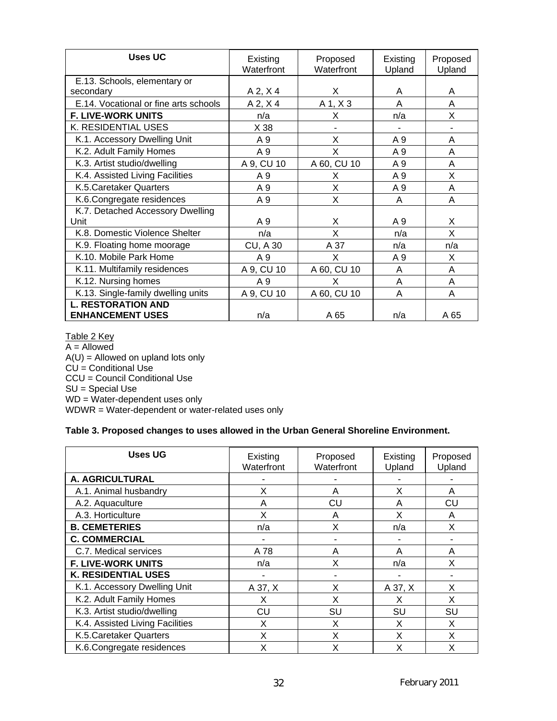| Uses UC                               | Existing<br>Waterfront | Proposed<br>Waterfront | Existing<br>Upland | Proposed<br>Upland |
|---------------------------------------|------------------------|------------------------|--------------------|--------------------|
| E.13. Schools, elementary or          |                        |                        |                    |                    |
| secondary                             | A 2, X 4               | Х                      | A                  | A                  |
| E.14. Vocational or fine arts schools | $A$ 2, $X$ 4           | A 1, X 3               | A                  | A                  |
| <b>F. LIVE-WORK UNITS</b>             | n/a                    | X                      | n/a                | X                  |
| K. RESIDENTIAL USES                   | X 38                   |                        |                    |                    |
| K.1. Accessory Dwelling Unit          | A 9                    | X                      | A 9                | A                  |
| K.2. Adult Family Homes               | A 9                    | X                      | A 9                | A                  |
| K.3. Artist studio/dwelling           | A 9, CU 10             | A 60, CU 10            | A 9                | A                  |
| K.4. Assisted Living Facilities       | A 9                    | X                      | A 9                | Χ                  |
| K.5. Caretaker Quarters               | A 9                    | X                      | A 9                | A                  |
| K.6.Congregate residences             | A 9                    | X                      | A                  | A                  |
| K.7. Detached Accessory Dwelling      |                        |                        |                    |                    |
| Unit                                  | A 9                    | X                      | A 9                | X                  |
| K.8. Domestic Violence Shelter        | n/a                    | X                      | n/a                | X                  |
| K.9. Floating home moorage            | <b>CU, A 30</b>        | A 37                   | n/a                | n/a                |
| K.10. Mobile Park Home                | A 9                    | X                      | A 9                | X                  |
| K.11. Multifamily residences          | A 9, CU 10             | A 60, CU 10            | A                  | A                  |
| K.12. Nursing homes                   | A 9                    | x                      | A                  | A                  |
| K.13. Single-family dwelling units    | A 9, CU 10             | A 60, CU 10            | A                  | A                  |
| <b>L. RESTORATION AND</b>             |                        |                        |                    |                    |
| <b>ENHANCEMENT USES</b>               | n/a                    | A 65                   | n/a                | A 65               |

Table 2 Key A = Allowed  $A(U) =$  Allowed on upland lots only  $CU =$  Conditional Use CCU = Council Conditional Use SU = Special Use WD = Water-dependent uses only WDWR = Water-dependent or water-related uses only

#### **Table 3. Proposed changes to uses allowed in the Urban General Shoreline Environment.**

| <b>Uses UG</b>                  | Existing<br>Waterfront | Proposed<br>Waterfront | Existing<br>Upland | Proposed<br>Upland |
|---------------------------------|------------------------|------------------------|--------------------|--------------------|
| A. AGRICULTURAL                 |                        |                        |                    |                    |
| A.1. Animal husbandry           | X                      | A                      | Χ                  | A                  |
| A.2. Aquaculture                | A                      | CU                     | Α                  | CU                 |
| A.3. Horticulture               | X                      | A                      | X                  | Α                  |
| <b>B. CEMETERIES</b>            | n/a                    | X                      | n/a                | X                  |
| <b>C. COMMERCIAL</b>            |                        |                        |                    |                    |
| C.7. Medical services           | A 78                   | A                      | Α                  | A                  |
| <b>F. LIVE-WORK UNITS</b>       | n/a                    | X                      | n/a                | X                  |
| <b>K. RESIDENTIAL USES</b>      |                        |                        |                    |                    |
| K.1. Accessory Dwelling Unit    | A 37, X                | X                      | A 37, X            | X                  |
| K.2. Adult Family Homes         | X                      | x                      | X                  | X                  |
| K.3. Artist studio/dwelling     | CU                     | SU                     | SU                 | SU                 |
| K.4. Assisted Living Facilities | x                      | X                      | x                  | X                  |
| K.5. Caretaker Quarters         | X                      | X                      | X                  | X                  |
| K.6. Congregate residences      | X                      | X                      | Χ                  | X                  |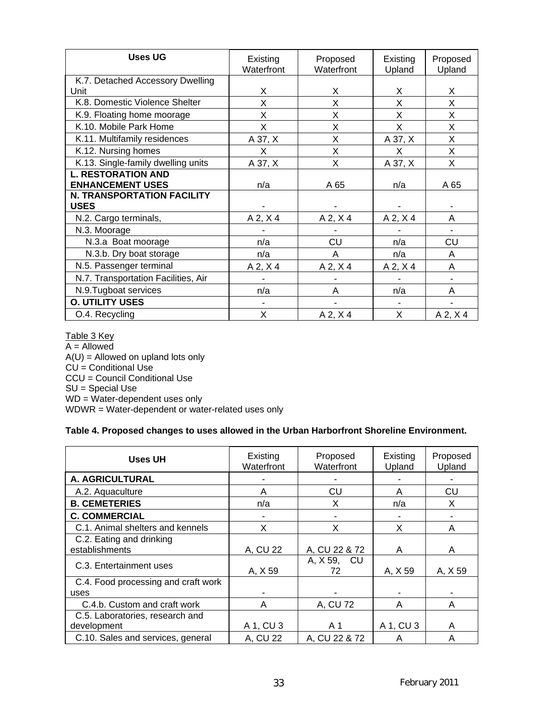| <b>Uses UG</b>                      | Existing<br>Waterfront | Proposed<br>Waterfront | Existing<br>Upland | Proposed<br>Upland |
|-------------------------------------|------------------------|------------------------|--------------------|--------------------|
| K.7. Detached Accessory Dwelling    |                        |                        |                    |                    |
| Unit                                | X                      | X                      | X                  | X                  |
| K.8. Domestic Violence Shelter      | X                      | X                      | X                  | X                  |
| K.9. Floating home moorage          | X                      | X                      | X                  | X                  |
| K.10. Mobile Park Home              | X                      | X                      | X                  | X                  |
| K.11. Multifamily residences        | A 37, X                | X                      | A 37, X            | X                  |
| K.12. Nursing homes                 | X                      | X                      | X                  | X                  |
| K.13. Single-family dwelling units  | A 37, X                | X                      | A 37, X            | X                  |
| <b>L. RESTORATION AND</b>           |                        |                        |                    |                    |
| <b>ENHANCEMENT USES</b>             | n/a                    | A 65                   | n/a                | A 65               |
| <b>N. TRANSPORTATION FACILITY</b>   |                        |                        |                    |                    |
| <b>USES</b>                         |                        |                        |                    |                    |
| N.2. Cargo terminals,               | $A$ 2, $X$ 4           | $A$ 2, $X$ 4           | $A$ 2, $X$ 4       | A                  |
| N.3. Moorage                        |                        |                        |                    |                    |
| N.3.a Boat moorage                  | n/a                    | CU                     | n/a                | CU                 |
| N.3.b. Dry boat storage             | n/a                    | A                      | n/a                | A                  |
| N.5. Passenger terminal             | $A$ 2, $X$ 4           | $A$ 2, $X$ 4           | A 2, X 4           | A                  |
| N.7. Transportation Facilities, Air |                        |                        |                    |                    |
| N.9. Tugboat services               | n/a                    | A                      | n/a                | A                  |
| <b>O. UTILITY USES</b>              |                        |                        |                    |                    |
| O.4. Recycling                      | X                      | $A$ 2, $X$ 4           | X                  | $A$ 2, $X$ 4       |

Table 3 Key A = Allowed  $A(U)$  = Allowed on upland lots only CU = Conditional Use CCU = Council Conditional Use SU = Special Use WD = Water-dependent uses only WDWR = Water-dependent or water-related uses only

#### **Table 4. Proposed changes to uses allowed in the Urban Harborfront Shoreline Environment.**

| <b>Uses UH</b>                      | Existing<br>Waterfront | Proposed<br>Waterfront | Existing<br>Upland | Proposed<br>Upland |
|-------------------------------------|------------------------|------------------------|--------------------|--------------------|
| A. AGRICULTURAL                     |                        |                        |                    |                    |
| A.2. Aquaculture                    | A                      | CU                     | A                  | CU                 |
| <b>B. CEMETERIES</b>                | n/a                    | X                      | n/a                | X                  |
| <b>C. COMMERCIAL</b>                |                        |                        |                    |                    |
| C.1. Animal shelters and kennels    | X                      | Χ                      | X                  | A                  |
| C.2. Eating and drinking            |                        |                        |                    |                    |
| establishments                      | A, CU 22               | A, CU 22 & 72          | A                  | A                  |
| C.3. Entertainment uses             | A, X 59                | A, X 59, CU<br>72      | A, X 59            | A, X 59            |
| C.4. Food processing and craft work |                        |                        |                    |                    |
| uses                                |                        |                        |                    |                    |
| C.4.b. Custom and craft work        | A                      | A, CU 72               | A                  | A                  |
| C.5. Laboratories, research and     |                        |                        |                    |                    |
| development                         | A 1, CU 3              | A 1                    | A 1, CU 3          | A                  |
| C.10. Sales and services, general   | A, CU 22               | A, CU 22 & 72          | A                  | A                  |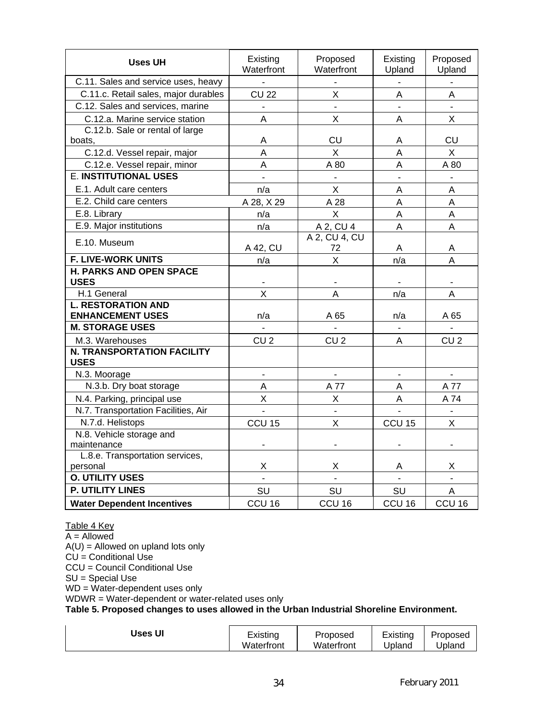| <b>Uses UH</b>                                       | Existing<br>Waterfront | Proposed<br>Waterfront  | Existing<br>Upland       | Proposed<br>Upland |
|------------------------------------------------------|------------------------|-------------------------|--------------------------|--------------------|
| C.11. Sales and service uses, heavy                  |                        |                         |                          |                    |
| C.11.c. Retail sales, major durables                 | <b>CU 22</b>           | X                       | A                        | A                  |
| C.12. Sales and services, marine                     |                        |                         | $\blacksquare$           |                    |
| C.12.a. Marine service station                       | Α                      | X                       | A                        | X                  |
| C.12.b. Sale or rental of large                      |                        |                         |                          |                    |
| boats,                                               | A                      | CU                      | A                        | CU                 |
| C.12.d. Vessel repair, major                         | A                      | X                       | A                        | X                  |
| C.12.e. Vessel repair, minor                         | A                      | A 80                    | A                        | A 80               |
| <b>E. INSTITUTIONAL USES</b>                         |                        |                         |                          |                    |
| E.1. Adult care centers                              | n/a                    | X                       | A                        | A                  |
| E.2. Child care centers                              | A 28, X 29             | A 28                    | A                        | A                  |
| E.8. Library                                         | n/a                    | X                       | A                        | A                  |
| E.9. Major institutions                              | n/a                    | A 2, CU 4               | $\overline{A}$           | A                  |
| E.10. Museum                                         |                        | A 2, CU 4, CU           |                          |                    |
|                                                      | A 42, CU               | 72                      | Α                        | Α                  |
| <b>F. LIVE-WORK UNITS</b>                            | n/a                    | $\overline{\mathsf{x}}$ | n/a                      | A                  |
| <b>H. PARKS AND OPEN SPACE</b><br><b>USES</b>        |                        |                         |                          |                    |
| H.1 General                                          | X                      | A                       | n/a                      | A                  |
| <b>L. RESTORATION AND</b><br><b>ENHANCEMENT USES</b> | n/a                    | A 65                    | n/a                      | A 65               |
| <b>M. STORAGE USES</b>                               |                        |                         | ÷.                       | ÷                  |
| M.3. Warehouses                                      | CU <sub>2</sub>        | CU <sub>2</sub>         | Α                        | CU <sub>2</sub>    |
| <b>N. TRANSPORTATION FACILITY</b><br><b>USES</b>     |                        |                         |                          |                    |
| N.3. Moorage                                         | $\overline{a}$         | $\overline{a}$          | $\mathbf{r}$             | $\mathbf{r}$       |
| N.3.b. Dry boat storage                              | A                      | A 77                    | A                        | A 77               |
| N.4. Parking, principal use                          | $\sf X$                | X                       | A                        | A 74               |
| N.7. Transportation Facilities, Air                  | $\blacksquare$         | $\blacksquare$          | $\overline{\phantom{a}}$ | $\blacksquare$     |
| N.7.d. Helistops                                     | CCU <sub>15</sub>      | X                       | CCU <sub>15</sub>        | X                  |
| N.8. Vehicle storage and                             |                        |                         |                          |                    |
| maintenance                                          |                        |                         |                          |                    |
| L.8.e. Transportation services,                      |                        |                         |                          |                    |
| personal                                             | Χ                      | Χ                       | Α                        | Χ                  |
| <b>O. UTILITY USES</b>                               |                        |                         |                          |                    |
| <b>P. UTILITY LINES</b>                              | SU                     | SU                      | SU                       | A                  |
| <b>Water Dependent Incentives</b>                    | CCU <sub>16</sub>      | CCU <sub>16</sub>       | CCU <sub>16</sub>        | CCU <sub>16</sub>  |

Table 4 Key

A = Allowed

 $A(U)$  = Allowed on upland lots only

 $CU =$  Conditional Use

CCU = Council Conditional Use

SU = Special Use

WD = Water-dependent uses only

WDWR = Water-dependent or water-related uses only

**Table 5. Proposed changes to uses allowed in the Urban Industrial Shoreline Environment.** 

| <b>Uses UI</b> | Existing   | Proposed   | Existing | Proposed |
|----------------|------------|------------|----------|----------|
|                | Waterfront | Waterfront | Upland   | Jpland   |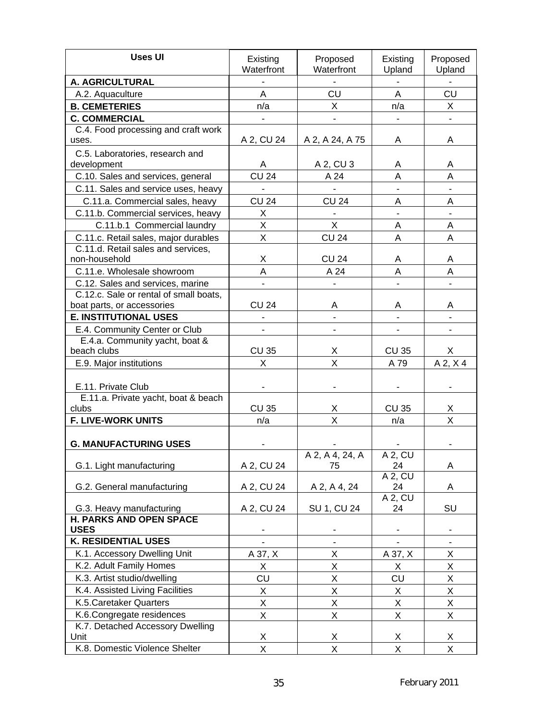| <b>Uses UI</b>                                                  | Existing<br>Waterfront | Proposed<br>Waterfront  | Existing<br>Upland     | Proposed<br>Upland |
|-----------------------------------------------------------------|------------------------|-------------------------|------------------------|--------------------|
| A. AGRICULTURAL                                                 |                        |                         |                        |                    |
| A.2. Aquaculture                                                | A                      | CU                      | A                      | CU                 |
| <b>B. CEMETERIES</b>                                            | n/a                    | X                       | n/a                    | X                  |
| <b>C. COMMERCIAL</b>                                            |                        |                         |                        |                    |
| C.4. Food processing and craft work                             |                        |                         |                        |                    |
| uses.                                                           | A 2, CU 24             | A 2, A 24, A 75         | A                      | Α                  |
| C.5. Laboratories, research and                                 |                        |                         |                        |                    |
| development                                                     | A                      | A 2, CU 3               | Α                      | Α                  |
| C.10. Sales and services, general                               | <b>CU 24</b>           | A 24                    | A                      | A                  |
| C.11. Sales and service uses, heavy                             |                        |                         |                        |                    |
| C.11.a. Commercial sales, heavy                                 | <b>CU 24</b>           | <b>CU 24</b>            | A                      | A                  |
| C.11.b. Commercial services, heavy                              | X                      |                         |                        |                    |
| C.11.b.1 Commercial laundry                                     | X                      | X                       | A                      | A                  |
| C.11.c. Retail sales, major durables                            | X                      | <b>CU 24</b>            | A                      | A                  |
| C.11.d. Retail sales and services,                              |                        |                         |                        |                    |
| non-household                                                   | Χ                      | <b>CU 24</b>            | Α                      | Α                  |
| C.11.e. Wholesale showroom                                      | A                      | A 24                    | Α                      | A                  |
| C.12. Sales and services, marine                                |                        |                         |                        |                    |
| C.12.c. Sale or rental of small boats,                          |                        |                         |                        |                    |
| boat parts, or accessories                                      | <b>CU 24</b>           | Α                       | Α                      | A                  |
| <b>E. INSTITUTIONAL USES</b>                                    |                        |                         |                        |                    |
| E.4. Community Center or Club<br>E.4.a. Community yacht, boat & |                        |                         |                        |                    |
| beach clubs                                                     | <b>CU 35</b>           | х                       | <b>CU 35</b>           | X.                 |
| E.9. Major institutions                                         | X                      | X                       | A 79                   | $A$ 2, $X$ 4       |
|                                                                 |                        |                         |                        |                    |
| E.11. Private Club                                              |                        |                         |                        |                    |
| E.11.a. Private yacht, boat & beach                             |                        |                         |                        |                    |
| clubs                                                           | <b>CU 35</b>           | Χ                       | <b>CU 35</b>           | X                  |
| <b>F. LIVE-WORK UNITS</b>                                       | n/a                    | $\overline{\mathsf{x}}$ | n/a                    | $\overline{X}$     |
|                                                                 |                        |                         |                        |                    |
| <b>G. MANUFACTURING USES</b>                                    |                        |                         |                        |                    |
|                                                                 |                        | A 2, A 4, 24, A         | $A$ 2, CU              |                    |
| G.1. Light manufacturing                                        | A 2, CU 24             | 75                      | 24<br>A 2, CU          | Α                  |
| G.2. General manufacturing                                      | A 2, CU 24             | A 2, A 4, 24            | 24                     | A                  |
|                                                                 |                        |                         | $A$ 2, $C\overline{U}$ |                    |
| G.3. Heavy manufacturing                                        | A 2, CU 24             | SU 1, CU 24             | 24                     | SU                 |
| H. PARKS AND OPEN SPACE                                         |                        |                         |                        |                    |
| <b>USES</b>                                                     |                        |                         |                        |                    |
| <b>K. RESIDENTIAL USES</b>                                      |                        |                         |                        |                    |
| K.1. Accessory Dwelling Unit                                    | A 37, X                | X                       | A 37, X                | X                  |
| K.2. Adult Family Homes                                         | X                      | Χ                       | X                      | Χ                  |
| K.3. Artist studio/dwelling                                     | CU                     | X                       | CU                     | $\mathsf X$        |
| K.4. Assisted Living Facilities                                 | X                      | Χ                       | X                      | Χ                  |
| K.5. Caretaker Quarters                                         | X                      | X                       | X                      | X                  |
| K.6.Congregate residences                                       | X                      | X                       | Χ                      | X                  |
| K.7. Detached Accessory Dwelling                                |                        |                         |                        |                    |
| Unit                                                            | X                      | Χ                       | X                      | X                  |
| K.8. Domestic Violence Shelter                                  | Χ                      | X                       | Χ                      | Χ                  |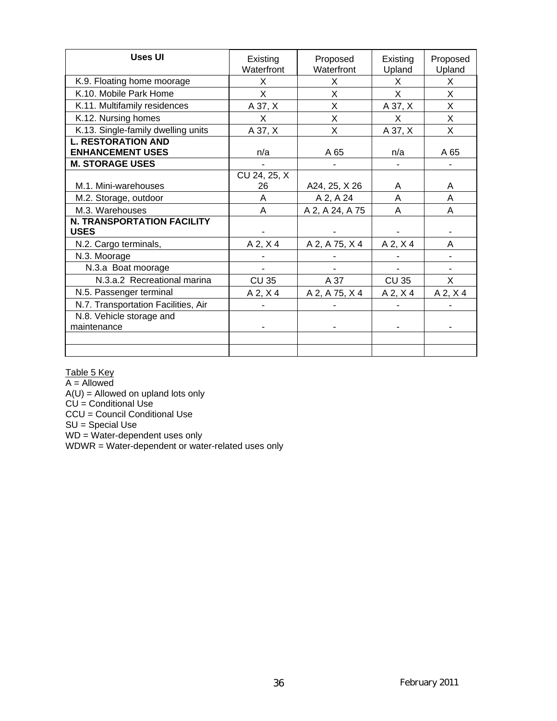| <b>Uses UI</b>                      | Existing<br>Waterfront | Proposed<br>Waterfront | Existing<br>Upland | Proposed<br>Upland |
|-------------------------------------|------------------------|------------------------|--------------------|--------------------|
| K.9. Floating home moorage          | X                      | X                      | X                  | X                  |
| K.10. Mobile Park Home              | X                      | X                      | X                  | X                  |
| K.11. Multifamily residences        | A 37, X                | X                      | A 37, X            | X                  |
| K.12. Nursing homes                 | X                      | X                      | X                  | X                  |
| K.13. Single-family dwelling units  | A 37, X                | X                      | A 37, X            | X                  |
| <b>L. RESTORATION AND</b>           |                        |                        |                    |                    |
| <b>ENHANCEMENT USES</b>             | n/a                    | A 65                   | n/a                | A 65               |
| <b>M. STORAGE USES</b>              |                        |                        |                    |                    |
|                                     | CU 24, 25, X           |                        |                    |                    |
| M.1. Mini-warehouses                | 26                     | A24, 25, X 26          | A                  | A                  |
| M.2. Storage, outdoor               | A                      | A 2, A 24              | A                  | A                  |
| M.3. Warehouses                     | A                      | A 2, A 24, A 75        | A                  | A                  |
| <b>N. TRANSPORTATION FACILITY</b>   |                        |                        |                    |                    |
| <b>USES</b>                         |                        |                        |                    |                    |
| N.2. Cargo terminals,               | $A$ 2, $X$ 4           | A 2, A 75, X 4         | $A$ 2, $X$ 4       | A                  |
| N.3. Moorage                        |                        |                        |                    |                    |
| N.3.a Boat moorage                  |                        |                        |                    |                    |
| N.3.a.2 Recreational marina         | <b>CU 35</b>           | A 37                   | <b>CU 35</b>       | X                  |
| N.5. Passenger terminal             | $A$ 2, $X$ 4           | A 2, A 75, X 4         | $A$ 2, $X$ 4       | $A$ 2, $X$ 4       |
| N.7. Transportation Facilities, Air |                        |                        |                    |                    |
| N.8. Vehicle storage and            |                        |                        |                    |                    |
| maintenance                         |                        |                        |                    |                    |
|                                     |                        |                        |                    |                    |
|                                     |                        |                        |                    |                    |

Table 5 Key

A = Allowed

 $A(U)$  = Allowed on upland lots only

CU = Conditional Use

CCU = Council Conditional Use

SU = Special Use

WD = Water-dependent uses only

WDWR = Water-dependent or water-related uses only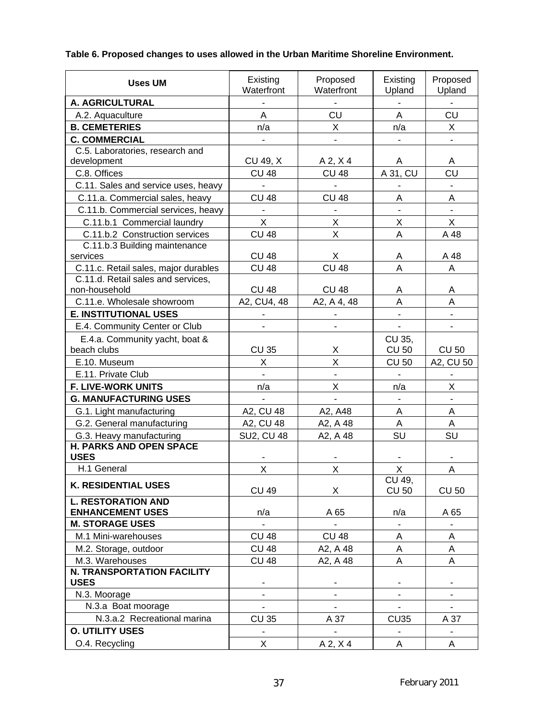## **Table 6. Proposed changes to uses allowed in the Urban Maritime Shoreline Environment.**

| <b>Uses UM</b>                       | Existing<br>Waterfront   | Proposed<br>Waterfront | Existing<br>Upland           | Proposed<br>Upland |
|--------------------------------------|--------------------------|------------------------|------------------------------|--------------------|
| A. AGRICULTURAL                      |                          |                        |                              |                    |
| A.2. Aquaculture                     | A                        | CU                     | Α                            | CU                 |
| <b>B. CEMETERIES</b>                 | n/a                      | X                      | n/a                          | X.                 |
| <b>C. COMMERCIAL</b>                 | $\blacksquare$           |                        |                              |                    |
| C.5. Laboratories, research and      |                          |                        |                              |                    |
| development                          | CU 49, X                 | $A$ 2, $X$ 4           | A                            | A                  |
| C.8. Offices                         | <b>CU 48</b>             | <b>CU 48</b>           | A 31, CU                     | CU                 |
| C.11. Sales and service uses, heavy  |                          | $\overline{a}$         | $\overline{\phantom{0}}$     |                    |
| C.11.a. Commercial sales, heavy      | <b>CU 48</b>             | <b>CU 48</b>           | Α                            | Α                  |
| C.11.b. Commercial services, heavy   |                          |                        |                              |                    |
| C.11.b.1 Commercial laundry          | $\overline{X}$           | X                      | X                            | X                  |
| C.11.b.2 Construction services       | <b>CU 48</b>             | X                      | A                            | A 48               |
| C.11.b.3 Building maintenance        |                          |                        |                              |                    |
| services                             | <b>CU 48</b>             | X                      | A                            | A 48               |
| C.11.c. Retail sales, major durables | <b>CU 48</b>             | <b>CU 48</b>           | A                            | A                  |
| C.11.d. Retail sales and services,   |                          |                        |                              |                    |
| non-household                        | <b>CU 48</b>             | <b>CU 48</b>           | A                            | A                  |
| C.11.e. Wholesale showroom           | A2, CU4, 48              | A2, A 4, 48            | A                            | Α                  |
| <b>E. INSTITUTIONAL USES</b>         |                          |                        |                              |                    |
| E.4. Community Center or Club        |                          |                        | ÷,                           |                    |
| E.4.a. Community yacht, boat &       |                          |                        | CU 35,                       |                    |
| beach clubs                          | <b>CU 35</b>             | X                      | <b>CU 50</b>                 | <b>CU 50</b>       |
| E.10. Museum                         | X                        | X                      | <b>CU 50</b>                 | A2, CU 50          |
| E.11. Private Club                   |                          |                        |                              |                    |
| <b>F. LIVE-WORK UNITS</b>            | n/a                      | $\mathsf{X}$           | n/a                          | X                  |
| <b>G. MANUFACTURING USES</b>         |                          |                        | $\overline{a}$               |                    |
| G.1. Light manufacturing             | A2, CU 48                | A2, A48                | A                            | Α                  |
| G.2. General manufacturing           | A2, CU 48                | A2, A 48               | A                            | Α                  |
| G.3. Heavy manufacturing             | <b>SU2, CU 48</b>        | A2, A 48               | SU                           | SU                 |
| <b>H. PARKS AND OPEN SPACE</b>       |                          |                        |                              |                    |
| <b>USES</b>                          |                          |                        |                              |                    |
| H.1 General                          | X                        | $\mathsf{X}$           | Χ                            | Α                  |
| <b>K. RESIDENTIAL USES</b>           | <b>CU 49</b>             |                        | CU 49,<br><b>CU 50</b>       |                    |
| <b>L. RESTORATION AND</b>            |                          | X                      |                              | <b>CU 50</b>       |
| <b>ENHANCEMENT USES</b>              | n/a                      | A 65                   | n/a                          | A 65               |
| <b>M. STORAGE USES</b>               |                          |                        | $\qquad \qquad \blacksquare$ |                    |
| M.1 Mini-warehouses                  | <b>CU 48</b>             | <b>CU 48</b>           | Α                            | Α                  |
| M.2. Storage, outdoor                | <b>CU 48</b>             | A2, A 48               | Α                            | A                  |
| M.3. Warehouses                      | <b>CU 48</b>             | A2, A 48               | A                            | Α                  |
| <b>N. TRANSPORTATION FACILITY</b>    |                          |                        |                              |                    |
| <b>USES</b>                          |                          |                        |                              |                    |
| N.3. Moorage                         |                          |                        | $\overline{\phantom{0}}$     |                    |
| N.3.a Boat moorage                   | $\overline{\phantom{a}}$ |                        | $\overline{\phantom{a}}$     | $\blacksquare$     |
| N.3.a.2 Recreational marina          | <b>CU 35</b>             | A 37                   | <b>CU35</b>                  | A 37               |
| <b>O. UTILITY USES</b>               |                          |                        | $\blacksquare$               |                    |
| O.4. Recycling                       | X                        | $A$ 2, $X$ 4           | Α                            | Α                  |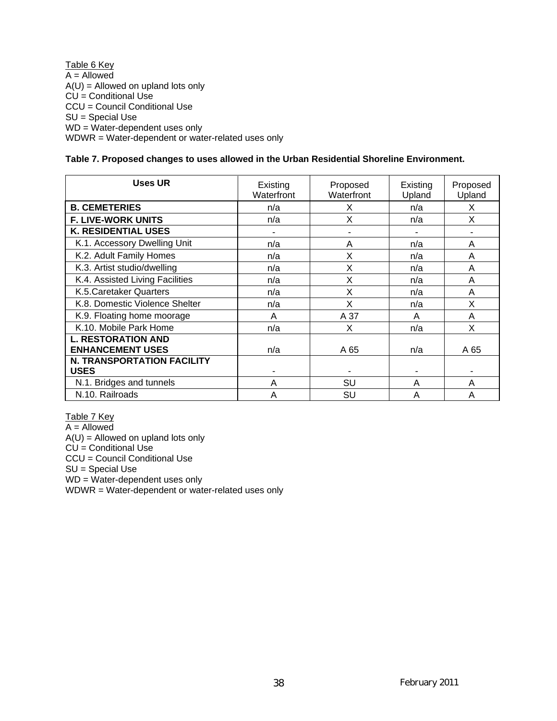Table 6 Key  $A =$  Allowed  $A(U)$  = Allowed on upland lots only  $CU =$  Conditional Use CCU = Council Conditional Use SU = Special Use WD = Water-dependent uses only WDWR = Water-dependent or water-related uses only

#### **Table 7. Proposed changes to uses allowed in the Urban Residential Shoreline Environment.**

| <b>Uses UR</b>                                       | Existing<br>Waterfront | Proposed<br>Waterfront | Existing<br>Upland | Proposed<br>Upland |
|------------------------------------------------------|------------------------|------------------------|--------------------|--------------------|
| <b>B. CEMETERIES</b>                                 | n/a                    | X                      | n/a                | X                  |
| <b>F. LIVE-WORK UNITS</b>                            | n/a                    | X                      | n/a                | X                  |
| <b>K. RESIDENTIAL USES</b>                           |                        |                        |                    |                    |
| K.1. Accessory Dwelling Unit                         | n/a                    | A                      | n/a                | A                  |
| K.2. Adult Family Homes                              | n/a                    | Χ                      | n/a                | A                  |
| K.3. Artist studio/dwelling                          | n/a                    | Χ                      | n/a                | A                  |
| K.4. Assisted Living Facilities                      | n/a                    | X                      | n/a                | A                  |
| K.5. Caretaker Quarters                              | n/a                    | X                      | n/a                | A                  |
| K.8. Domestic Violence Shelter                       | n/a                    | X                      | n/a                | X                  |
| K.9. Floating home moorage                           | A                      | A 37                   | A                  | A                  |
| K.10. Mobile Park Home                               | n/a                    | X                      | n/a                | X                  |
| <b>L. RESTORATION AND</b><br><b>ENHANCEMENT USES</b> | n/a                    | A 65                   | n/a                | A 65               |
| <b>N. TRANSPORTATION FACILITY</b>                    |                        |                        |                    |                    |
| <b>USES</b>                                          |                        |                        |                    |                    |
| N.1. Bridges and tunnels                             | A                      | SU                     | A                  | A                  |
| N.10. Railroads                                      | Α                      | SU                     | A                  | A                  |

Table 7 Key

 $A =$  Allowed

 $A(U)$  = Allowed on upland lots only

 $CU =$  Conditional Use

CCU = Council Conditional Use

SU = Special Use

WD = Water-dependent uses only

WDWR = Water-dependent or water-related uses only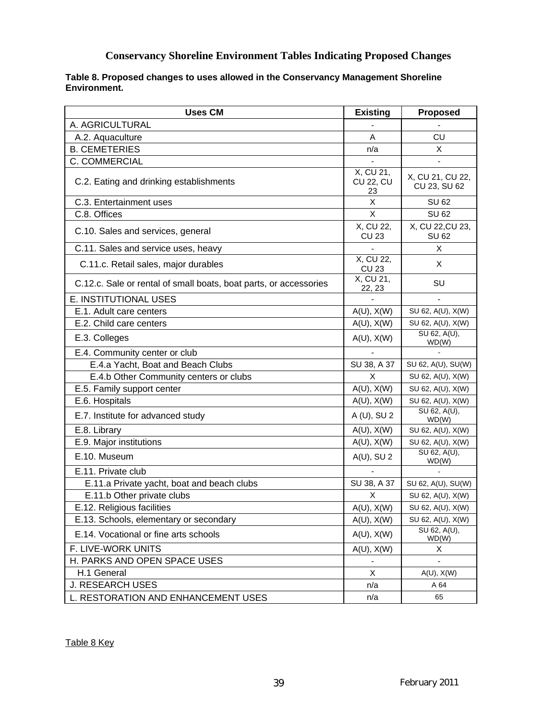### **Conservancy Shoreline Environment Tables Indicating Proposed Changes**

#### **Table 8. Proposed changes to uses allowed in the Conservancy Management Shoreline Environment.**

| <b>Uses CM</b>                                                    | <b>Existing</b>                     | Proposed                         |
|-------------------------------------------------------------------|-------------------------------------|----------------------------------|
| A. AGRICULTURAL                                                   |                                     |                                  |
| A.2. Aquaculture                                                  | A                                   | CU                               |
| <b>B. CEMETERIES</b>                                              | n/a                                 | X                                |
| C. COMMERCIAL                                                     |                                     | $\blacksquare$                   |
| C.2. Eating and drinking establishments                           | X, CU 21,<br><b>CU 22, CU</b><br>23 | X, CU 21, CU 22,<br>CU 23, SU 62 |
| C.3. Entertainment uses                                           | X                                   | <b>SU 62</b>                     |
| C.8. Offices                                                      | X                                   | <b>SU 62</b>                     |
| C.10. Sales and services, general                                 | X, CU 22,<br><b>CU 23</b>           | X, CU 22, CU 23,<br><b>SU 62</b> |
| C.11. Sales and service uses, heavy                               |                                     | X                                |
| C.11.c. Retail sales, major durables                              | X, CU 22,<br><b>CU 23</b>           | X.                               |
| C.12.c. Sale or rental of small boats, boat parts, or accessories | X, CU 21,<br>22, 23                 | SU                               |
| E. INSTITUTIONAL USES                                             |                                     |                                  |
| E.1. Adult care centers                                           | $A(U)$ , $X(W)$                     | SU 62, A(U), X(W)                |
| E.2. Child care centers                                           | $A(U)$ , $X(W)$                     | SU 62, A(U), X(W)                |
| E.3. Colleges                                                     | $A(U)$ , $X(W)$                     | SU 62, A(U),<br>WD(W)            |
| E.4. Community center or club                                     |                                     |                                  |
| E.4.a Yacht, Boat and Beach Clubs                                 | SU 38, A 37                         | SU 62, A(U), SU(W)               |
| E.4.b Other Community centers or clubs                            | X                                   | SU 62, A(U), X(W)                |
| E.5. Family support center                                        | $A(U)$ , $X(W)$                     | SU 62, A(U), X(W)                |
| E.6. Hospitals                                                    | $A(U)$ , $X(W)$                     | SU 62, A(U), X(W)                |
| E.7. Institute for advanced study                                 | A (U), SU 2                         | SU 62, A(U),<br>WD(W)            |
| E.8. Library                                                      | $A(U)$ , $X(W)$                     | SU 62, A(U), X(W)                |
| E.9. Major institutions                                           | $A(U)$ , $X(W)$                     | SU 62, A(U), X(W)                |
| E.10. Museum                                                      | $A(U)$ , SU 2                       | SU 62, A(U),<br>WD(W)            |
| E.11. Private club                                                |                                     |                                  |
| E.11.a Private yacht, boat and beach clubs                        | SU 38, A 37                         | SU 62, A(U), SU(W)               |
| E.11.b Other private clubs                                        | X                                   | SU 62, A(U), X(W)                |
| E.12. Religious facilities                                        | $A(U)$ , $X(W)$                     | SU 62, A(U), X(W)                |
| E.13. Schools, elementary or secondary                            | $A(U)$ , $X(W)$                     | SU 62, A(U), X(W)                |
| E.14. Vocational or fine arts schools                             | $A(U)$ , $X(W)$                     | SU 62, A(U),<br>WD(W)            |
| F. LIVE-WORK UNITS                                                | $A(U)$ , $X(W)$                     | X                                |
| H. PARKS AND OPEN SPACE USES                                      |                                     |                                  |
| H.1 General                                                       | X                                   | $A(U)$ , $X(W)$                  |
| <b>J. RESEARCH USES</b>                                           | n/a                                 | A 64                             |
| L. RESTORATION AND ENHANCEMENT USES                               | n/a                                 | 65                               |

Table 8 Key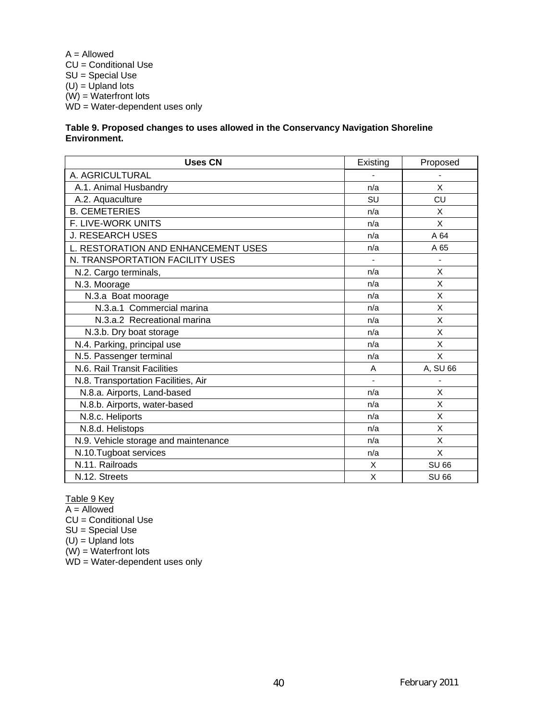A = Allowed CU = Conditional Use SU = Special Use  $(U) = U$ pland lots  $(W) = Waterfront lots$  $WD = Water-dependent$  uses only

#### **Table 9. Proposed changes to uses allowed in the Conservancy Navigation Shoreline Environment.**

| <b>Uses CN</b>                       | Existing | Proposed     |
|--------------------------------------|----------|--------------|
| A. AGRICULTURAL                      |          |              |
| A.1. Animal Husbandry                | n/a      | X            |
| A.2. Aquaculture                     | SU       | CU           |
| <b>B. CEMETERIES</b>                 | n/a      | X            |
| F. LIVE-WORK UNITS                   | n/a      | X            |
| <b>J. RESEARCH USES</b>              | n/a      | A 64         |
| L. RESTORATION AND ENHANCEMENT USES  | n/a      | A 65         |
| N. TRANSPORTATION FACILITY USES      |          |              |
| N.2. Cargo terminals,                | n/a      | X            |
| N.3. Moorage                         | n/a      | X            |
| N.3.a Boat moorage                   | n/a      | X            |
| N.3.a.1 Commercial marina            | n/a      | X            |
| N.3.a.2 Recreational marina          | n/a      | X            |
| N.3.b. Dry boat storage              | n/a      | X            |
| N.4. Parking, principal use          | n/a      | X            |
| N.5. Passenger terminal              | n/a      | X            |
| N.6. Rail Transit Facilities         | A        | A, SU 66     |
| N.8. Transportation Facilities, Air  |          |              |
| N.8.a. Airports, Land-based          | n/a      | X            |
| N.8.b. Airports, water-based         | n/a      | X            |
| N.8.c. Heliports                     | n/a      | X            |
| N.8.d. Helistops                     | n/a      | X            |
| N.9. Vehicle storage and maintenance | n/a      | X            |
| N.10.Tugboat services                | n/a      | X            |
| N.11. Railroads                      | X        | <b>SU 66</b> |
| N.12. Streets                        | X        | <b>SU 66</b> |

Table 9 Key

A = Allowed

CU = Conditional Use

SU = Special Use

 $(U) = U$ pland lots

 $(W) = W$ aterfront lots

 $WD = Water-dependent$  uses only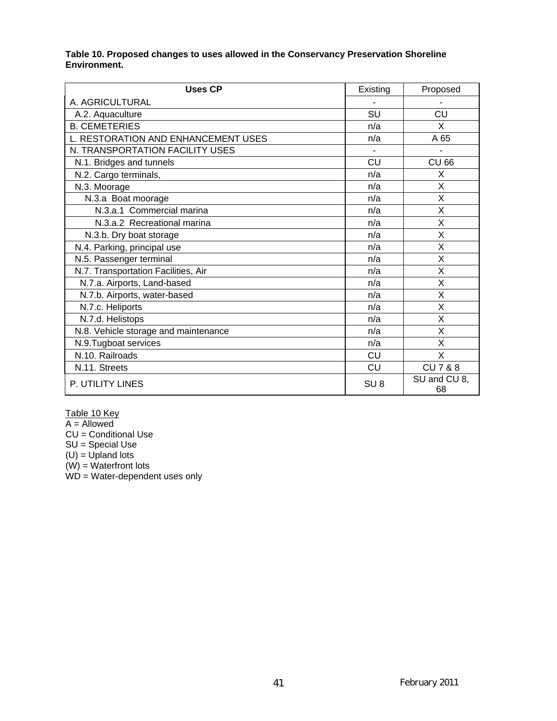#### **Table 10. Proposed changes to uses allowed in the Conservancy Preservation Shoreline Environment.**

| <b>Uses CP</b>                       | Existing        | Proposed           |
|--------------------------------------|-----------------|--------------------|
| A. AGRICULTURAL                      |                 |                    |
| A.2. Aquaculture                     | SU              | <b>CU</b>          |
| <b>B. CEMETERIES</b>                 | n/a             | X                  |
| L. RESTORATION AND ENHANCEMENT USES  | n/a             | A 65               |
| N. TRANSPORTATION FACILITY USES      |                 |                    |
| N.1. Bridges and tunnels             | CU              | <b>CU 66</b>       |
| N.2. Cargo terminals,                | n/a             | X                  |
| N.3. Moorage                         | n/a             | X                  |
| N.3.a Boat moorage                   | n/a             | X                  |
| N.3.a.1 Commercial marina            | n/a             | X                  |
| N.3.a.2 Recreational marina          | n/a             | X                  |
| N.3.b. Dry boat storage              | n/a             | X                  |
| N.4. Parking, principal use          | n/a             | X                  |
| N.5. Passenger terminal              | n/a             | X                  |
| N.7. Transportation Facilities, Air  | n/a             | X                  |
| N.7.a. Airports, Land-based          | n/a             | X                  |
| N.7.b. Airports, water-based         | n/a             | X                  |
| N.7.c. Heliports                     | n/a             | X                  |
| N.7.d. Helistops                     | n/a             | X                  |
| N.8. Vehicle storage and maintenance | n/a             | X                  |
| N.9. Tugboat services                | n/a             | X                  |
| N.10. Railroads                      | CU              | X                  |
| N.11. Streets                        | CU              | CU 7 & 8           |
| P. UTILITY LINES                     | SU <sub>8</sub> | SU and CU 8,<br>68 |

Table 10 Key

A = Allowed

CU = Conditional Use

SU = Special Use

 $(U)$  = Upland lots

(W) = Waterfront lots

WD = Water-dependent uses only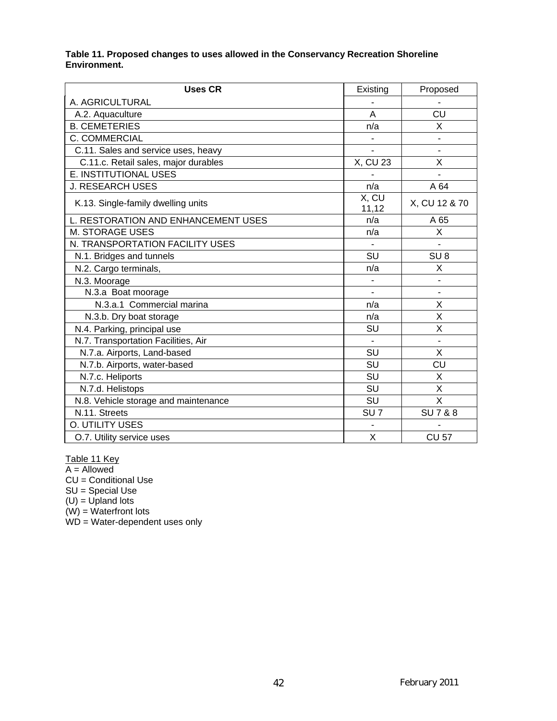#### **Table 11. Proposed changes to uses allowed in the Conservancy Recreation Shoreline Environment.**

| <b>Uses CR</b>                       | Existing        | Proposed         |
|--------------------------------------|-----------------|------------------|
| A. AGRICULTURAL                      |                 |                  |
| A.2. Aquaculture                     | A               | CU               |
| <b>B. CEMETERIES</b>                 | n/a             | X                |
| C. COMMERCIAL                        |                 |                  |
| C.11. Sales and service uses, heavy  |                 |                  |
| C.11.c. Retail sales, major durables | X, CU 23        | X                |
| E. INSTITUTIONAL USES                |                 |                  |
| <b>J. RESEARCH USES</b>              | n/a             | A 64             |
| K.13. Single-family dwelling units   | X, CU<br>11,12  | X, CU 12 & 70    |
| L. RESTORATION AND ENHANCEMENT USES  | n/a             | A 65             |
| <b>M. STORAGE USES</b>               | n/a             | X                |
| N. TRANSPORTATION FACILITY USES      |                 |                  |
| N.1. Bridges and tunnels             | SU              | SU <sub>8</sub>  |
| N.2. Cargo terminals,                | n/a             | Χ                |
| N.3. Moorage                         |                 |                  |
| N.3.a Boat moorage                   |                 |                  |
| N.3.a.1 Commercial marina            | n/a             | X                |
| N.3.b. Dry boat storage              | n/a             | X                |
| N.4. Parking, principal use          | SU              | X                |
| N.7. Transportation Facilities, Air  |                 |                  |
| N.7.a. Airports, Land-based          | SU              | X                |
| N.7.b. Airports, water-based         | SU              | CU               |
| N.7.c. Heliports                     | SU              | Χ                |
| N.7.d. Helistops                     | SU              | X                |
| N.8. Vehicle storage and maintenance | SU              | X                |
| N.11. Streets                        | SU <sub>7</sub> | <b>SU7&amp;8</b> |
| O. UTILITY USES                      |                 |                  |
| O.7. Utility service uses            | X               | <b>CU 57</b>     |

Table 11 Key

A = Allowed

CU = Conditional Use

SU = Special Use

 $(U) = U$ pland lots

(W) = Waterfront lots

WD = Water-dependent uses only